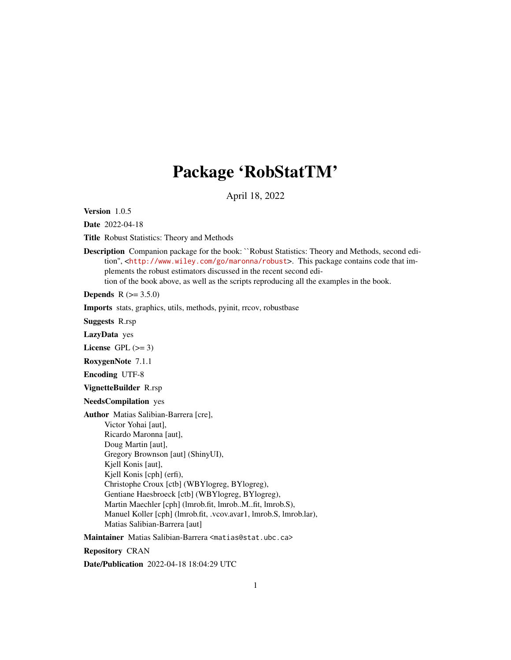# Package 'RobStatTM'

April 18, 2022

<span id="page-0-0"></span>Version 1.0.5

Date 2022-04-18

Title Robust Statistics: Theory and Methods

Description Companion package for the book: ``Robust Statistics: Theory and Methods, second edition'', <<http://www.wiley.com/go/maronna/robust>>. This package contains code that implements the robust estimators discussed in the recent second edition of the book above, as well as the scripts reproducing all the examples in the book.

**Depends**  $R (= 3.5.0)$ 

Imports stats, graphics, utils, methods, pyinit, rrcov, robustbase

Suggests R.rsp

LazyData yes

License GPL  $(>= 3)$ 

RoxygenNote 7.1.1

Encoding UTF-8

VignetteBuilder R.rsp

NeedsCompilation yes

Author Matias Salibian-Barrera [cre], Victor Yohai [aut], Ricardo Maronna [aut], Doug Martin [aut], Gregory Brownson [aut] (ShinyUI), Kjell Konis [aut], Kjell Konis [cph] (erfi), Christophe Croux [ctb] (WBYlogreg, BYlogreg), Gentiane Haesbroeck [ctb] (WBYlogreg, BYlogreg), Martin Maechler [cph] (lmrob.fit, lmrob..M..fit, lmrob.S), Manuel Koller [cph] (lmrob.fit, .vcov.avar1, lmrob.S, lmrob.lar), Matias Salibian-Barrera [aut]

Maintainer Matias Salibian-Barrera <matias@stat.ubc.ca>

Repository CRAN

Date/Publication 2022-04-18 18:04:29 UTC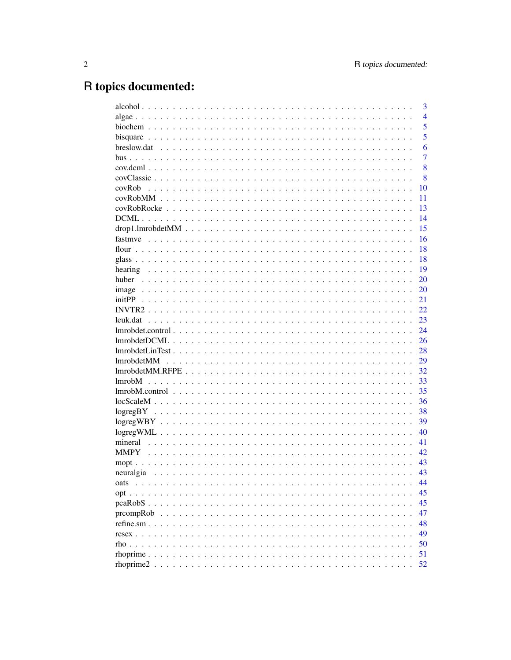# R topics documented:

|                                                                                                       | 3              |
|-------------------------------------------------------------------------------------------------------|----------------|
|                                                                                                       | $\overline{4}$ |
|                                                                                                       | 5              |
|                                                                                                       | 5              |
|                                                                                                       | 6              |
|                                                                                                       | 7              |
|                                                                                                       | 8              |
|                                                                                                       | 8              |
| covRob                                                                                                | 10             |
|                                                                                                       | 11             |
|                                                                                                       | 13             |
|                                                                                                       | 14             |
|                                                                                                       | 15             |
|                                                                                                       | 16             |
|                                                                                                       | 18             |
|                                                                                                       | 18             |
|                                                                                                       | 19             |
| huber                                                                                                 | 20             |
|                                                                                                       | 20             |
|                                                                                                       | 21             |
|                                                                                                       | 22             |
|                                                                                                       | 23             |
| lmrobdet.control.                                                                                     | 24             |
|                                                                                                       | 26             |
| $lmrobdetLinTest \ldots \ldots \ldots \ldots \ldots \ldots \ldots \ldots \ldots \ldots \ldots \ldots$ | 28             |
| <b>lmrobdetMM</b>                                                                                     | 29             |
|                                                                                                       | 32             |
| 1 <sub>mrob</sub> M                                                                                   | 33             |
|                                                                                                       | 35             |
|                                                                                                       | 36             |
|                                                                                                       | 38             |
|                                                                                                       | 39             |
|                                                                                                       | 40             |
| mineral                                                                                               | 41             |
| <b>MMPY</b>                                                                                           | 42             |
|                                                                                                       | 43             |
| neuralgia                                                                                             | 43             |
| oats                                                                                                  | 44             |
| opt.<br>.<br>$\ddot{\phantom{0}}$                                                                     | 45             |
| peaRobS<br>$\sim$ $\sim$                                                                              | 45             |
| prcompRob<br>$\ddot{\phantom{a}}$                                                                     | 47             |
| refine.sm $\ldots$<br>$\ddot{\phantom{a}}$                                                            | 48             |
| $resex \ldots \ldots$                                                                                 | 49             |
| $rho \ldots$                                                                                          | 50             |
| rhoprime                                                                                              | 51             |
| rhoprime2.                                                                                            | 52             |
|                                                                                                       |                |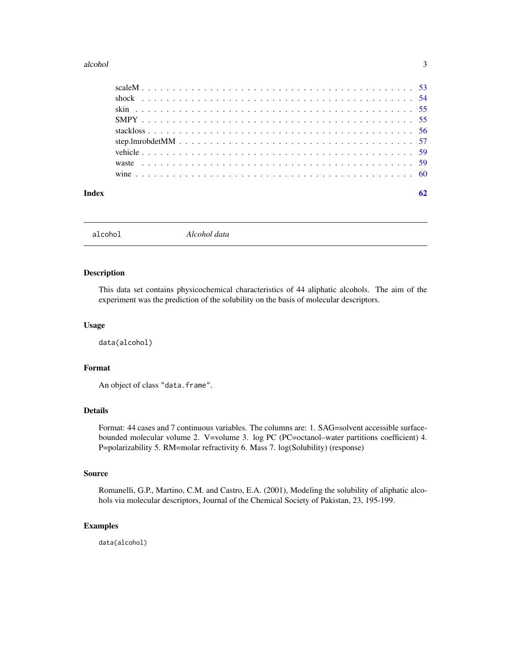#### <span id="page-2-0"></span>alcohol 3

alcohol *Alcohol data*

#### Description

This data set contains physicochemical characteristics of 44 aliphatic alcohols. The aim of the experiment was the prediction of the solubility on the basis of molecular descriptors.

# Usage

data(alcohol)

# Format

An object of class "data.frame".

# Details

Format: 44 cases and 7 continuous variables. The columns are: 1. SAG=solvent accessible surfacebounded molecular volume 2. V=volume 3. log PC (PC=octanol–water partitions coefficient) 4. P=polarizability 5. RM=molar refractivity 6. Mass 7. log(Solubility) (response)

# Source

Romanelli, G.P., Martino, C.M. and Castro, E.A. (2001), Modeling the solubility of aliphatic alcohols via molecular descriptors, Journal of the Chemical Society of Pakistan, 23, 195-199.

#### Examples

data(alcohol)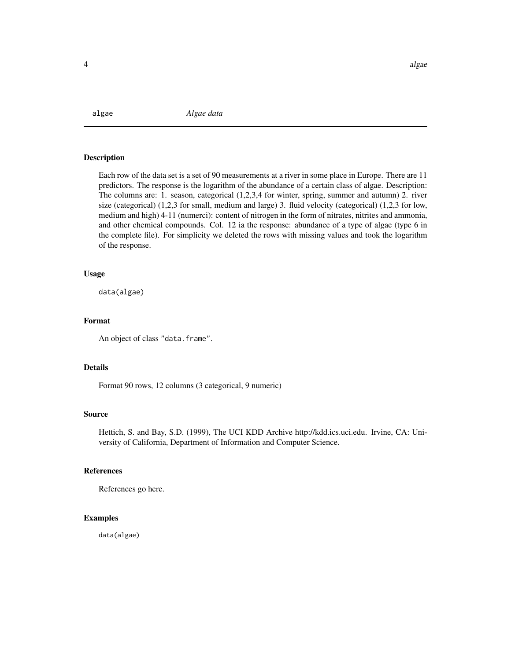<span id="page-3-0"></span>algae *Algae data*

#### Description

Each row of the data set is a set of 90 measurements at a river in some place in Europe. There are 11 predictors. The response is the logarithm of the abundance of a certain class of algae. Description: The columns are: 1. season, categorical (1,2,3,4 for winter, spring, summer and autumn) 2. river size (categorical) (1,2,3 for small, medium and large) 3. fluid velocity (categorical) (1,2,3 for low, medium and high) 4-11 (numerci): content of nitrogen in the form of nitrates, nitrites and ammonia, and other chemical compounds. Col. 12 ia the response: abundance of a type of algae (type 6 in the complete file). For simplicity we deleted the rows with missing values and took the logarithm of the response.

#### Usage

data(algae)

# Format

An object of class "data.frame".

# Details

Format 90 rows, 12 columns (3 categorical, 9 numeric)

### Source

Hettich, S. and Bay, S.D. (1999), The UCI KDD Archive http://kdd.ics.uci.edu. Irvine, CA: University of California, Department of Information and Computer Science.

#### References

References go here.

# Examples

data(algae)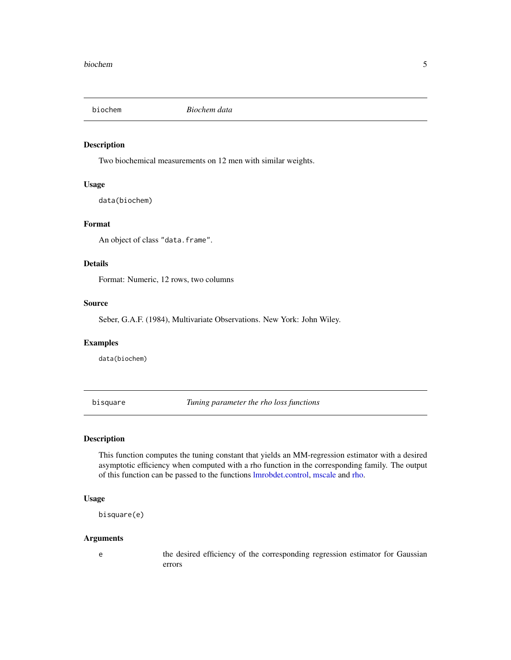<span id="page-4-0"></span>

Two biochemical measurements on 12 men with similar weights.

# Usage

data(biochem)

# Format

An object of class "data.frame".

# Details

Format: Numeric, 12 rows, two columns

#### Source

Seber, G.A.F. (1984), Multivariate Observations. New York: John Wiley.

# Examples

data(biochem)

<span id="page-4-1"></span>bisquare *Tuning parameter the rho loss functions*

# Description

This function computes the tuning constant that yields an MM-regression estimator with a desired asymptotic efficiency when computed with a rho function in the corresponding family. The output of this function can be passed to the functions [lmrobdet.control,](#page-23-1) [mscale](#page-52-1) and [rho.](#page-49-1)

#### Usage

bisquare(e)

#### Arguments

e the desired efficiency of the corresponding regression estimator for Gaussian errors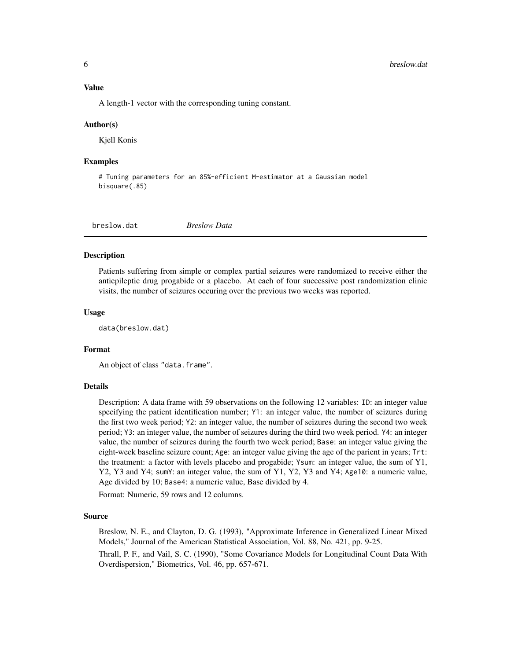<span id="page-5-0"></span>A length-1 vector with the corresponding tuning constant.

#### Author(s)

Kjell Konis

#### Examples

# Tuning parameters for an 85%-efficient M-estimator at a Gaussian model bisquare(.85)

breslow.dat *Breslow Data*

#### **Description**

Patients suffering from simple or complex partial seizures were randomized to receive either the antiepileptic drug progabide or a placebo. At each of four successive post randomization clinic visits, the number of seizures occuring over the previous two weeks was reported.

#### Usage

data(breslow.dat)

#### Format

An object of class "data.frame".

#### Details

Description: A data frame with 59 observations on the following 12 variables: ID: an integer value specifying the patient identification number; Y1: an integer value, the number of seizures during the first two week period; Y2: an integer value, the number of seizures during the second two week period; Y3: an integer value, the number of seizures during the third two week period. Y4: an integer value, the number of seizures during the fourth two week period; Base: an integer value giving the eight-week baseline seizure count; Age: an integer value giving the age of the parient in years; Trt: the treatment: a factor with levels placebo and progabide; Ysum: an integer value, the sum of Y1, Y2, Y3 and Y4; sumY: an integer value, the sum of Y1, Y2, Y3 and Y4; Age10: a numeric value, Age divided by 10; Base4: a numeric value, Base divided by 4.

Format: Numeric, 59 rows and 12 columns.

#### Source

Breslow, N. E., and Clayton, D. G. (1993), "Approximate Inference in Generalized Linear Mixed Models," Journal of the American Statistical Association, Vol. 88, No. 421, pp. 9-25.

Thrall, P. F., and Vail, S. C. (1990), "Some Covariance Models for Longitudinal Count Data With Overdispersion," Biometrics, Vol. 46, pp. 657-671.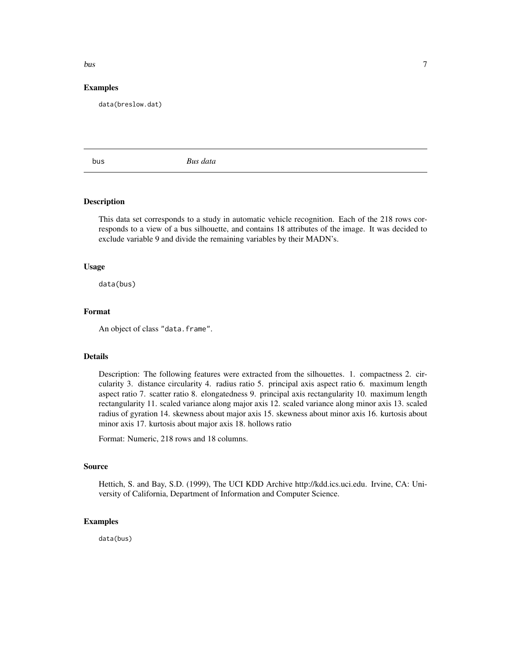# <span id="page-6-0"></span>bus 7

# Examples

data(breslow.dat)

bus *Bus data*

# Description

This data set corresponds to a study in automatic vehicle recognition. Each of the 218 rows corresponds to a view of a bus silhouette, and contains 18 attributes of the image. It was decided to exclude variable 9 and divide the remaining variables by their MADN's.

#### Usage

data(bus)

# Format

An object of class "data.frame".

# Details

Description: The following features were extracted from the silhouettes. 1. compactness 2. circularity 3. distance circularity 4. radius ratio 5. principal axis aspect ratio 6. maximum length aspect ratio 7. scatter ratio 8. elongatedness 9. principal axis rectangularity 10. maximum length rectangularity 11. scaled variance along major axis 12. scaled variance along minor axis 13. scaled radius of gyration 14. skewness about major axis 15. skewness about minor axis 16. kurtosis about minor axis 17. kurtosis about major axis 18. hollows ratio

Format: Numeric, 218 rows and 18 columns.

## Source

Hettich, S. and Bay, S.D. (1999), The UCI KDD Archive http://kdd.ics.uci.edu. Irvine, CA: University of California, Department of Information and Computer Science.

# Examples

data(bus)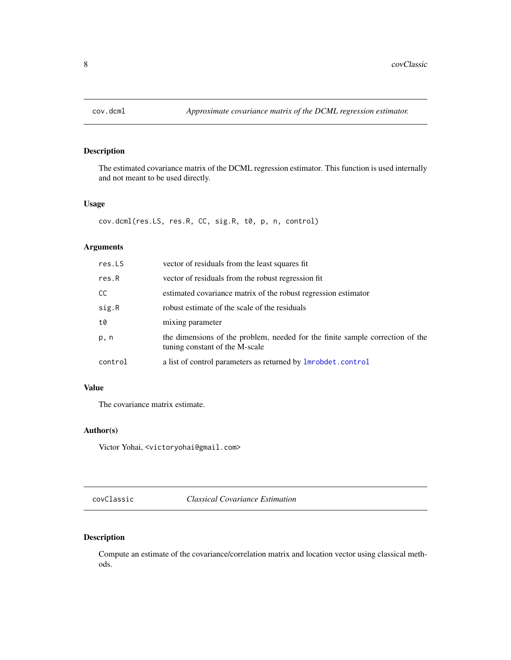<span id="page-7-0"></span>

The estimated covariance matrix of the DCML regression estimator. This function is used internally and not meant to be used directly.

# Usage

cov.dcml(res.LS, res.R, CC, sig.R, t0, p, n, control)

# Arguments

| res.LS  | vector of residuals from the least squares fit                                                                  |
|---------|-----------------------------------------------------------------------------------------------------------------|
| res.R   | vector of residuals from the robust regression fit                                                              |
| CC.     | estimated covariance matrix of the robust regression estimator                                                  |
| sig.R   | robust estimate of the scale of the residuals                                                                   |
| t0      | mixing parameter                                                                                                |
| p, n    | the dimensions of the problem, needed for the finite sample correction of the<br>tuning constant of the M-scale |
| control | a list of control parameters as returned by <b>lmrobdet</b> .control                                            |
|         |                                                                                                                 |

# Value

The covariance matrix estimate.

# Author(s)

Victor Yohai, <victoryohai@gmail.com>

covClassic *Classical Covariance Estimation*

# Description

Compute an estimate of the covariance/correlation matrix and location vector using classical methods.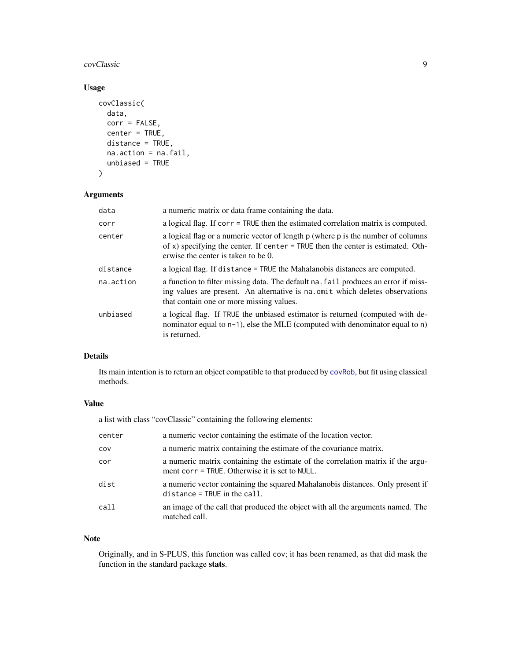<span id="page-8-0"></span>covClassic **9** 

# Usage

```
covClassic(
  data,
  corr = FALSE,
  center = TRUE,
  distance = TRUE,
  na.action = na.fail,
  unbiased = TRUE
)
```
# Arguments

| data      | a numeric matrix or data frame containing the data.                                                                                                                                                             |
|-----------|-----------------------------------------------------------------------------------------------------------------------------------------------------------------------------------------------------------------|
| corr      | a logical flag. If corr = TRUE then the estimated correlation matrix is computed.                                                                                                                               |
| center    | a logical flag or a numeric vector of length p (where p is the number of columns<br>of x) specifying the center. If center $=$ TRUE then the center is estimated. Oth-<br>erwise the center is taken to be 0.   |
| distance  | a logical flag. If distance = TRUE the Mahalanobis distances are computed.                                                                                                                                      |
| na.action | a function to filter missing data. The default na. fail produces an error if miss-<br>ing values are present. An alternative is na. omit which deletes observations<br>that contain one or more missing values. |
| unbiased  | a logical flag. If TRUE the unbiased estimator is returned (computed with de-<br>nominator equal to $n-1$ ), else the MLE (computed with denominator equal to n)<br>is returned.                                |

# Details

Its main intention is to return an object compatible to that produced by [covRob](#page-9-1), but fit using classical methods.

# Value

a list with class "covClassic" containing the following elements:

| center | a numeric vector containing the estimate of the location vector.                                                                  |
|--------|-----------------------------------------------------------------------------------------------------------------------------------|
| COV    | a numeric matrix containing the estimate of the covariance matrix.                                                                |
| cor    | a numeric matrix containing the estimate of the correlation matrix if the argu-<br>ment corr = TRUE. Otherwise it is set to NULL. |
| dist   | a numeric vector containing the squared Mahalanobis distances. Only present if<br>$distance = TRUE$ in the $call.$                |
| call   | an image of the call that produced the object with all the arguments named. The<br>matched call.                                  |

# Note

Originally, and in S-PLUS, this function was called cov; it has been renamed, as that did mask the function in the standard package stats.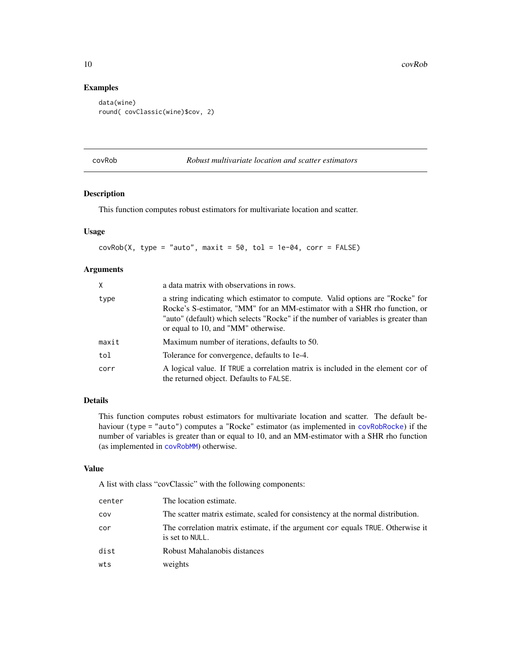# Examples

```
data(wine)
round( covClassic(wine)$cov, 2)
```
<span id="page-9-1"></span>covRob *Robust multivariate location and scatter estimators*

# Description

This function computes robust estimators for multivariate location and scatter.

#### Usage

 $covRob(X, type = "auto", maxit = 50, tol = 1e-04, corr = FALSE)$ 

# Arguments

| X     | a data matrix with observations in rows.                                                                                                                                                                                                                                               |
|-------|----------------------------------------------------------------------------------------------------------------------------------------------------------------------------------------------------------------------------------------------------------------------------------------|
| type  | a string indicating which estimator to compute. Valid options are "Rocke" for<br>Rocke's S-estimator, "MM" for an MM-estimator with a SHR rho function, or<br>"auto" (default) which selects "Rocke" if the number of variables is greater than<br>or equal to 10, and "MM" otherwise. |
| maxit | Maximum number of iterations, defaults to 50.                                                                                                                                                                                                                                          |
| tol   | Tolerance for convergence, defaults to 1e-4.                                                                                                                                                                                                                                           |
| corr  | A logical value. If TRUE a correlation matrix is included in the element cor of<br>the returned object. Defaults to FALSE.                                                                                                                                                             |

# Details

This function computes robust estimators for multivariate location and scatter. The default behaviour (type = "auto") computes a "Rocke" estimator (as implemented in [covRobRocke](#page-12-1)) if the number of variables is greater than or equal to 10, and an MM-estimator with a SHR rho function (as implemented in [covRobMM](#page-10-1)) otherwise.

#### Value

A list with class "covClassic" with the following components:

| center | The location estimate.                                                                            |
|--------|---------------------------------------------------------------------------------------------------|
| cov    | The scatter matrix estimate, scaled for consistency at the normal distribution.                   |
| cor    | The correlation matrix estimate, if the argument cor equals TRUE. Otherwise it<br>is set to NULL. |
| dist   | Robust Mahalanobis distances                                                                      |
| wts    | weights                                                                                           |

<span id="page-9-0"></span>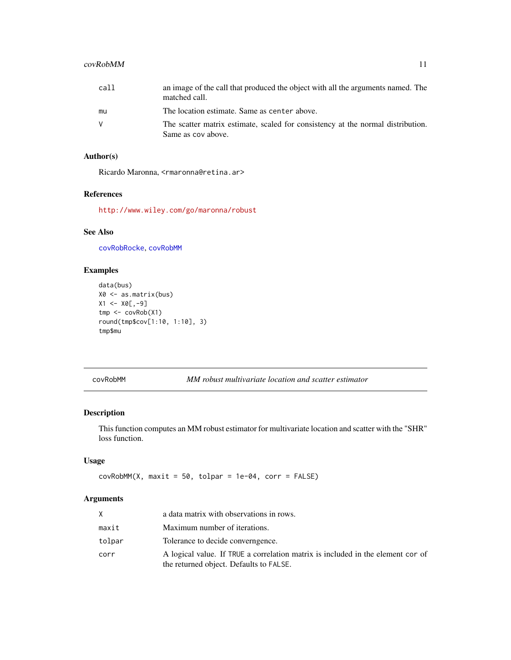# <span id="page-10-0"></span>covRobMM 11

| call | an image of the call that produced the object with all the arguments named. The<br>matched call.      |
|------|-------------------------------------------------------------------------------------------------------|
| mu   | The location estimate. Same as center above.                                                          |
| V    | The scatter matrix estimate, scaled for consistency at the normal distribution.<br>Same as cov above. |

# Author(s)

Ricardo Maronna, <rmaronna@retina.ar>

# References

<http://www.wiley.com/go/maronna/robust>

# See Also

[covRobRocke](#page-12-1), [covRobMM](#page-10-1)

# Examples

```
data(bus)
X0 <- as.matrix(bus)
X1 < - X0[,-9]tmp <- covRob(X1)
round(tmp$cov[1:10, 1:10], 3)
tmp$mu
```
<span id="page-10-1"></span>covRobMM *MM robust multivariate location and scatter estimator*

# Description

This function computes an MM robust estimator for multivariate location and scatter with the "SHR" loss function.

# Usage

 $covRobMM(X, maxit = 50, tolpar = 1e-04, corr = FALSE)$ 

# Arguments

|        | a data matrix with observations in rows.                                                                                   |
|--------|----------------------------------------------------------------------------------------------------------------------------|
| maxit  | Maximum number of iterations.                                                                                              |
| tolpar | Tolerance to decide converngence.                                                                                          |
| corr   | A logical value. If TRUE a correlation matrix is included in the element cor of<br>the returned object. Defaults to FALSE. |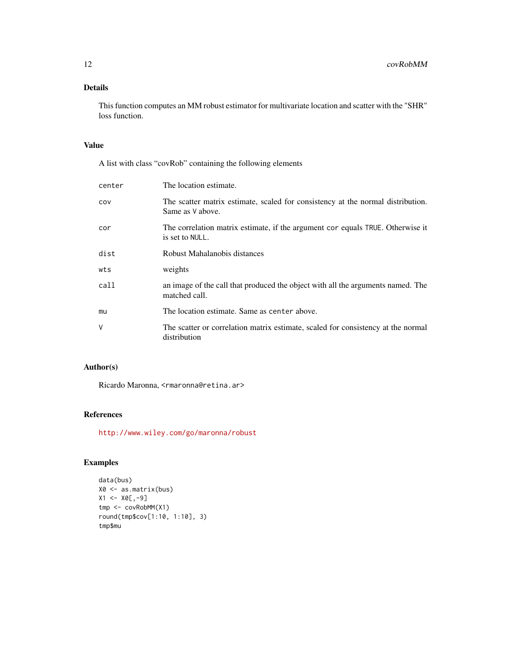# Details

This function computes an MM robust estimator for multivariate location and scatter with the "SHR" loss function.

# Value

A list with class "covRob" containing the following elements

| center | The location estimate.                                                                              |
|--------|-----------------------------------------------------------------------------------------------------|
| COV    | The scatter matrix estimate, scaled for consistency at the normal distribution.<br>Same as V above. |
| cor    | The correlation matrix estimate, if the argument cor equals TRUE. Otherwise it<br>is set to NULL.   |
| dist   | Robust Mahalanobis distances                                                                        |
| wts    | weights                                                                                             |
| call   | an image of the call that produced the object with all the arguments named. The<br>matched call.    |
| mu     | The location estimate. Same as center above.                                                        |
| V      | The scatter or correlation matrix estimate, scaled for consistency at the normal<br>distribution    |

# Author(s)

Ricardo Maronna, <rmaronna@retina.ar>

# References

<http://www.wiley.com/go/maronna/robust>

```
data(bus)
X0 <- as.matrix(bus)
X1 <- X0[,-9]
tmp <- covRobMM(X1)
round(tmp$cov[1:10, 1:10], 3)
tmp$mu
```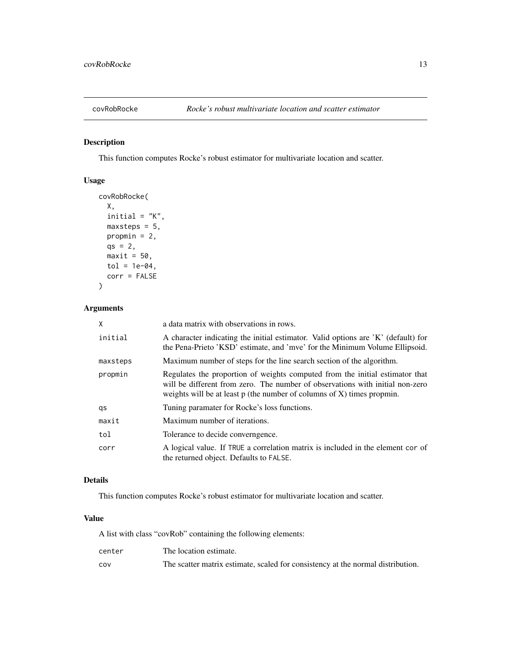<span id="page-12-1"></span><span id="page-12-0"></span>

This function computes Rocke's robust estimator for multivariate location and scatter.

# Usage

```
covRobRocke(
 X,
 initial = "K",maxsteps = 5,
 propmin = 2,
 qs = 2,
 maxit = 50,
 tol = 1e-04,corr = FALSE
)
```
# Arguments

| X        | a data matrix with observations in rows.                                                                                                                                                                                                  |
|----------|-------------------------------------------------------------------------------------------------------------------------------------------------------------------------------------------------------------------------------------------|
| initial  | A character indicating the initial estimator. Valid options are 'K' (default) for<br>the Pena-Prieto 'KSD' estimate, and 'mve' for the Minimum Volume Ellipsoid.                                                                          |
| maxsteps | Maximum number of steps for the line search section of the algorithm.                                                                                                                                                                     |
| propmin  | Regulates the proportion of weights computed from the initial estimator that<br>will be different from zero. The number of observations with initial non-zero<br>weights will be at least $p$ (the number of columns of X) times propmin. |
| qs       | Tuning paramater for Rocke's loss functions.                                                                                                                                                                                              |
| maxit    | Maximum number of iterations.                                                                                                                                                                                                             |
| tol      | Tolerance to decide converngence.                                                                                                                                                                                                         |
| corr     | A logical value. If TRUE a correlation matrix is included in the element cor of<br>the returned object. Defaults to FALSE.                                                                                                                |

# Details

This function computes Rocke's robust estimator for multivariate location and scatter.

# Value

A list with class "covRob" containing the following elements:

| center | The location estimate.                                                          |
|--------|---------------------------------------------------------------------------------|
| COV    | The scatter matrix estimate, scaled for consistency at the normal distribution. |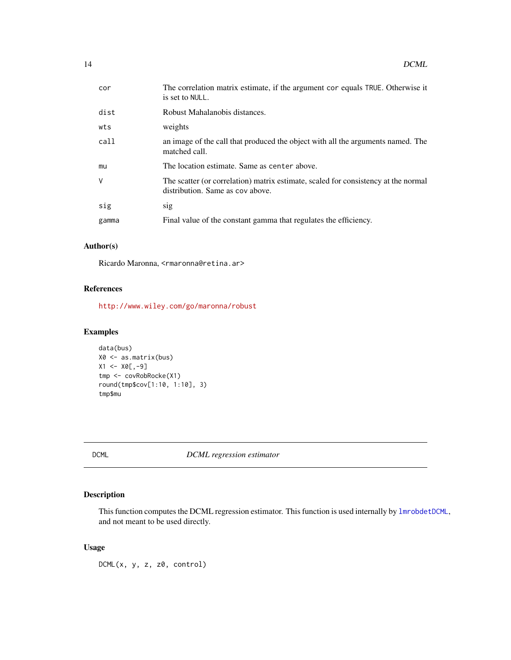<span id="page-13-0"></span>

| cor   | The correlation matrix estimate, if the argument cor equals TRUE. Otherwise it<br>is set to NULL.                      |
|-------|------------------------------------------------------------------------------------------------------------------------|
| dist  | Robust Mahalanobis distances.                                                                                          |
| wts   | weights                                                                                                                |
| call  | an image of the call that produced the object with all the arguments named. The<br>matched call.                       |
| mu    | The location estimate. Same as center above.                                                                           |
| V     | The scatter (or correlation) matrix estimate, scaled for consistency at the normal<br>distribution. Same as cov above. |
| sig   | sig                                                                                                                    |
| gamma | Final value of the constant gamma that regulates the efficiency.                                                       |
|       |                                                                                                                        |

# Author(s)

Ricardo Maronna, <rmaronna@retina.ar>

# References

<http://www.wiley.com/go/maronna/robust>

# Examples

```
data(bus)
X0 <- as.matrix(bus)
X1 <- X0[,-9]
tmp <- covRobRocke(X1)
round(tmp$cov[1:10, 1:10], 3)
tmp$mu
```
<span id="page-13-1"></span>DCML *DCML regression estimator*

# Description

This function computes the DCML regression estimator. This function is used internally by [lmrobdetDCML](#page-25-1), and not meant to be used directly.

# Usage

 $DCML(x, y, z, z0, control)$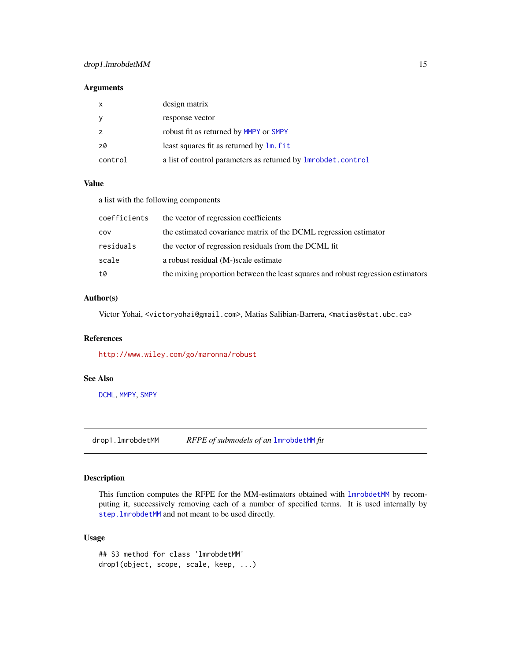# <span id="page-14-0"></span>drop1.lmrobdetMM 15

#### Arguments

| $\mathsf{x}$ | design matrix                                                        |
|--------------|----------------------------------------------------------------------|
| <b>y</b>     | response vector                                                      |
|              | robust fit as returned by MMPY or SMPY                               |
| z0           | least squares fit as returned by $\text{Im}.$ fit                    |
| control      | a list of control parameters as returned by <b>lmrobdet</b> .control |

# Value

a list with the following components

| coefficients | the vector of regression coefficients                                            |
|--------------|----------------------------------------------------------------------------------|
| cov          | the estimated covariance matrix of the DCML regression estimator                 |
| residuals    | the vector of regression residuals from the DCML fit                             |
| scale        | a robust residual (M-)scale estimate                                             |
| t0           | the mixing proportion between the least squares and robust regression estimators |

# Author(s)

Victor Yohai, <victoryohai@gmail.com>, Matias Salibian-Barrera, <matias@stat.ubc.ca>

# References

<http://www.wiley.com/go/maronna/robust>

#### See Also

[DCML](#page-13-1), [MMPY](#page-41-1), [SMPY](#page-54-1)

drop1.lmrobdetMM *RFPE of submodels of an* [lmrobdetMM](#page-28-1) *fit*

# Description

This function computes the RFPE for the MM-estimators obtained with [lmrobdetMM](#page-28-1) by recomputing it, successively removing each of a number of specified terms. It is used internally by [step.lmrobdetMM](#page-56-1) and not meant to be used directly.

# Usage

## S3 method for class 'lmrobdetMM' drop1(object, scope, scale, keep, ...)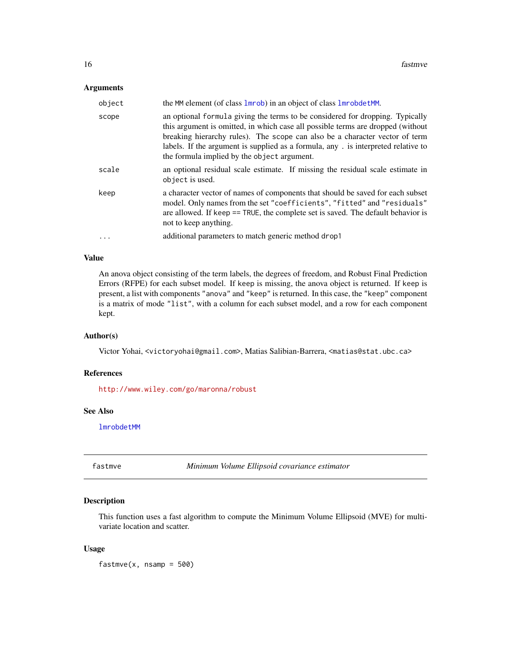#### <span id="page-15-0"></span>Arguments

| object   | the MM element (of class 1mrob) in an object of class 1mrobdetMM.                                                                                                                                                                                                                                                                                                                    |
|----------|--------------------------------------------------------------------------------------------------------------------------------------------------------------------------------------------------------------------------------------------------------------------------------------------------------------------------------------------------------------------------------------|
| scope    | an optional formula giving the terms to be considered for dropping. Typically<br>this argument is omitted, in which case all possible terms are dropped (without<br>breaking hierarchy rules). The scope can also be a character vector of term<br>labels. If the argument is supplied as a formula, any . is interpreted relative to<br>the formula implied by the object argument. |
| scale    | an optional residual scale estimate. If missing the residual scale estimate in<br>object is used.                                                                                                                                                                                                                                                                                    |
| keep     | a character vector of names of components that should be saved for each subset<br>model. Only names from the set "coefficients", "fitted" and "residuals"<br>are allowed. If keep == TRUE, the complete set is saved. The default behavior is<br>not to keep anything.                                                                                                               |
| $\cdots$ | additional parameters to match generic method drop1                                                                                                                                                                                                                                                                                                                                  |

# Value

An anova object consisting of the term labels, the degrees of freedom, and Robust Final Prediction Errors (RFPE) for each subset model. If keep is missing, the anova object is returned. If keep is present, a list with components "anova" and "keep" is returned. In this case, the "keep" component is a matrix of mode "list", with a column for each subset model, and a row for each component kept.

#### Author(s)

Victor Yohai, <victoryohai@gmail.com>, Matias Salibian-Barrera, <matias@stat.ubc.ca>

#### References

<http://www.wiley.com/go/maronna/robust>

# See Also

[lmrobdetMM](#page-28-1)

fastmve *Minimum Volume Ellipsoid covariance estimator*

#### Description

This function uses a fast algorithm to compute the Minimum Volume Ellipsoid (MVE) for multivariate location and scatter.

#### Usage

 $f$ astmve $(x,$  nsamp = 500)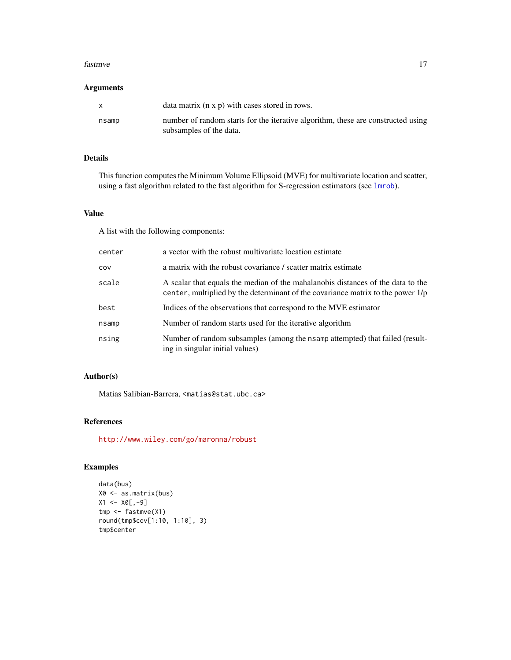#### <span id="page-16-0"></span>fastmve and the state of the state of the state of the state of the state of the state of the state of the state of the state of the state of the state of the state of the state of the state of the state of the state of th

#### Arguments

| X     | data matrix $(n \times p)$ with cases stored in rows.                                                       |
|-------|-------------------------------------------------------------------------------------------------------------|
| nsamp | number of random starts for the iterative algorithm, these are constructed using<br>subsamples of the data. |

# Details

This function computes the Minimum Volume Ellipsoid (MVE) for multivariate location and scatter, using a fast algorithm related to the fast algorithm for S-regression estimators (see [lmrob](#page-0-0)).

### Value

A list with the following components:

| center | a vector with the robust multivariate location estimate                                                                                                              |  |
|--------|----------------------------------------------------------------------------------------------------------------------------------------------------------------------|--|
| COV    | a matrix with the robust covariance / scatter matrix estimate                                                                                                        |  |
| scale  | A scalar that equals the median of the mahalanobis distances of the data to the<br>center, multiplied by the determinant of the covariance matrix to the power $1/p$ |  |
| best   | Indices of the observations that correspond to the MVE estimator                                                                                                     |  |
| nsamp  | Number of random starts used for the iterative algorithm                                                                                                             |  |
| nsing  | Number of random subsamples (among the nsamp attempted) that failed (result-<br>ing in singular initial values)                                                      |  |

# Author(s)

Matias Salibian-Barrera, <matias@stat.ubc.ca>

# References

<http://www.wiley.com/go/maronna/robust>

```
data(bus)
X0 <- as.matrix(bus)
X1 <- X0[,-9]
tmp <- fastmve(X1)
round(tmp$cov[1:10, 1:10], 3)
tmp$center
```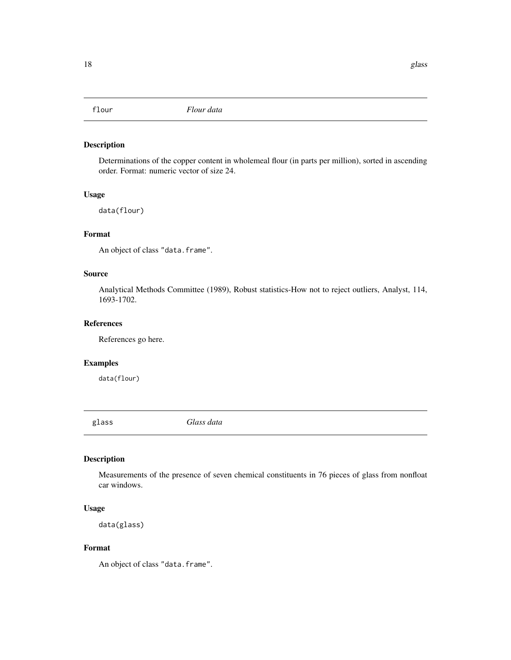<span id="page-17-0"></span>

Determinations of the copper content in wholemeal flour (in parts per million), sorted in ascending order. Format: numeric vector of size 24.

# Usage

data(flour)

# Format

An object of class "data.frame".

# Source

Analytical Methods Committee (1989), Robust statistics-How not to reject outliers, Analyst, 114, 1693-1702.

#### References

References go here.

### Examples

data(flour)

glass *Glass data*

# Description

Measurements of the presence of seven chemical constituents in 76 pieces of glass from nonfloat car windows.

# Usage

```
data(glass)
```
# Format

An object of class "data.frame".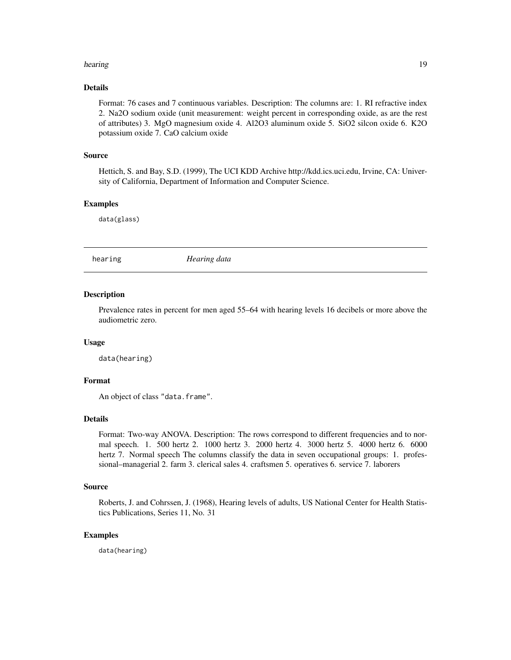#### <span id="page-18-0"></span>hearing the contract of the contract of the contract of the contract of the contract of the contract of the contract of the contract of the contract of the contract of the contract of the contract of the contract of the co

# Details

Format: 76 cases and 7 continuous variables. Description: The columns are: 1. RI refractive index 2. Na2O sodium oxide (unit measurement: weight percent in corresponding oxide, as are the rest of attributes) 3. MgO magnesium oxide 4. Al2O3 aluminum oxide 5. SiO2 silcon oxide 6. K2O potassium oxide 7. CaO calcium oxide

#### Source

Hettich, S. and Bay, S.D. (1999), The UCI KDD Archive http://kdd.ics.uci.edu, Irvine, CA: University of California, Department of Information and Computer Science.

#### Examples

data(glass)

hearing *Hearing data*

#### **Description**

Prevalence rates in percent for men aged 55–64 with hearing levels 16 decibels or more above the audiometric zero.

#### Usage

data(hearing)

# Format

An object of class "data.frame".

#### Details

Format: Two-way ANOVA. Description: The rows correspond to different frequencies and to normal speech. 1. 500 hertz 2. 1000 hertz 3. 2000 hertz 4. 3000 hertz 5. 4000 hertz 6. 6000 hertz 7. Normal speech The columns classify the data in seven occupational groups: 1. professional–managerial 2. farm 3. clerical sales 4. craftsmen 5. operatives 6. service 7. laborers

# Source

Roberts, J. and Cohrssen, J. (1968), Hearing levels of adults, US National Center for Health Statistics Publications, Series 11, No. 31

# Examples

data(hearing)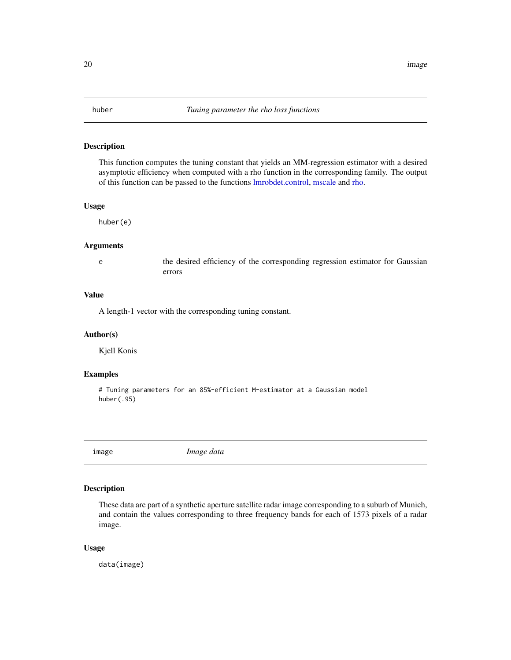<span id="page-19-0"></span>

This function computes the tuning constant that yields an MM-regression estimator with a desired asymptotic efficiency when computed with a rho function in the corresponding family. The output of this function can be passed to the functions [lmrobdet.control,](#page-23-1) [mscale](#page-52-1) and [rho.](#page-49-1)

#### Usage

huber(e)

#### Arguments

e the desired efficiency of the corresponding regression estimator for Gaussian errors

# Value

A length-1 vector with the corresponding tuning constant.

#### Author(s)

Kjell Konis

# Examples

# Tuning parameters for an 85%-efficient M-estimator at a Gaussian model huber(.95)

image *Image data*

#### Description

These data are part of a synthetic aperture satellite radar image corresponding to a suburb of Munich, and contain the values corresponding to three frequency bands for each of 1573 pixels of a radar image.

#### Usage

data(image)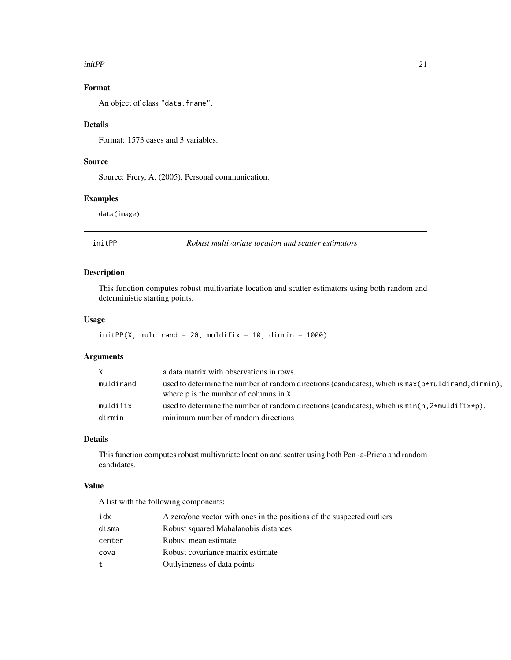#### <span id="page-20-0"></span>initPP 21

# Format

An object of class "data.frame".

# Details

Format: 1573 cases and 3 variables.

# Source

Source: Frery, A. (2005), Personal communication.

# Examples

data(image)

initPP *Robust multivariate location and scatter estimators*

# Description

This function computes robust multivariate location and scatter estimators using both random and deterministic starting points.

# Usage

```
initPP(X, multdirand = 20, multdifix = 10, dirmin = 1000)
```
# Arguments

| X         | a data matrix with observations in rows.                                                                                                       |
|-----------|------------------------------------------------------------------------------------------------------------------------------------------------|
| muldirand | used to determine the number of random directions (candidates), which is $max(p*multirand,dirmin)$ .<br>where p is the number of columns in X. |
| muldifix  | used to determine the number of random directions (candidates), which is $min(n, 2*multif(x*p))$ .                                             |
| dirmin    | minimum number of random directions                                                                                                            |

# Details

This function computes robust multivariate location and scatter using both Pen~a-Prieto and random candidates.

#### Value

A list with the following components:

| idx    | A zero/one vector with ones in the positions of the suspected outliers |
|--------|------------------------------------------------------------------------|
| disma  | Robust squared Mahalanobis distances                                   |
| center | Robust mean estimate                                                   |
| cova   | Robust covariance matrix estimate                                      |
| t.     | Outlyingness of data points                                            |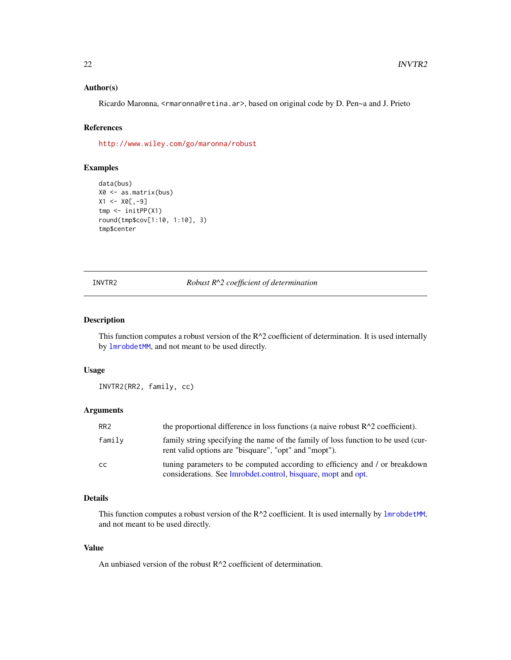#### <span id="page-21-0"></span>Author(s)

Ricardo Maronna, <rmaronna@retina.ar>, based on original code by D. Pen~a and J. Prieto

# References

<http://www.wiley.com/go/maronna/robust>

# Examples

```
data(bus)
X0 <- as.matrix(bus)
X1 < - X0[,-9]tmp <- initPP(X1)
round(tmp$cov[1:10, 1:10], 3)
tmp$center
```
#### INVTR2 *Robust R^2 coefficient of determination*

# Description

This function computes a robust version of the  $R^2$  coefficient of determination. It is used internally by [lmrobdetMM](#page-28-1), and not meant to be used directly.

# Usage

INVTR2(RR2, family, cc)

# Arguments

| RR <sub>2</sub> | the proportional difference in loss functions (a naive robust $R^2$ coefficient).                                                            |
|-----------------|----------------------------------------------------------------------------------------------------------------------------------------------|
| family          | family string specifying the name of the family of loss function to be used (cur-<br>rent valid options are "bisquare", "opt" and "mopt").   |
| <sub>CC</sub>   | tuning parameters to be computed according to efficiency and / or breakdown<br>considerations. See Imrobdet.control, bisquare, mopt and opt. |

# Details

This function computes a robust version of the  $R^2$  coefficient. It is used internally by [lmrobdetMM](#page-28-1), and not meant to be used directly.

#### Value

An unbiased version of the robust R^2 coefficient of determination.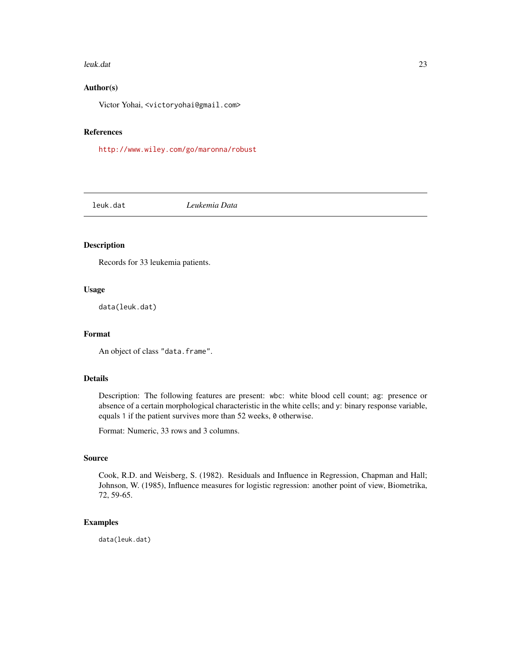#### <span id="page-22-0"></span>leuk.dat 23

#### Author(s)

Victor Yohai, <victoryohai@gmail.com>

#### References

<http://www.wiley.com/go/maronna/robust>

leuk.dat *Leukemia Data*

#### Description

Records for 33 leukemia patients.

# Usage

data(leuk.dat)

#### Format

An object of class "data.frame".

#### Details

Description: The following features are present: wbc: white blood cell count; ag: presence or absence of a certain morphological characteristic in the white cells; and y: binary response variable, equals 1 if the patient survives more than 52 weeks, 0 otherwise.

Format: Numeric, 33 rows and 3 columns.

# Source

Cook, R.D. and Weisberg, S. (1982). Residuals and Influence in Regression, Chapman and Hall; Johnson, W. (1985), Influence measures for logistic regression: another point of view, Biometrika, 72, 59-65.

# Examples

data(leuk.dat)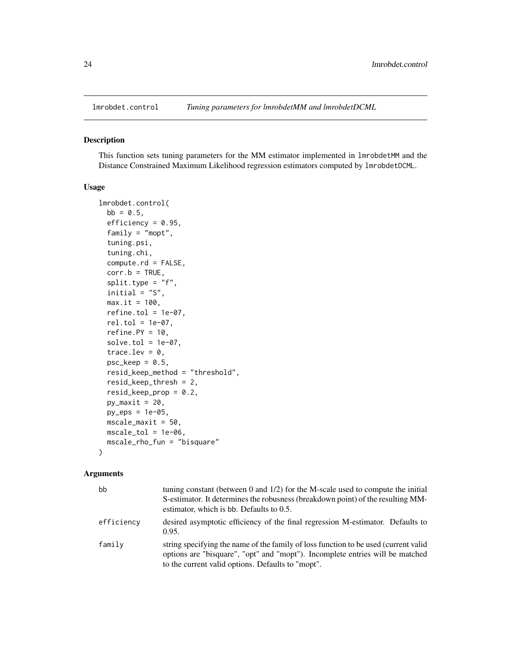<span id="page-23-1"></span><span id="page-23-0"></span>

This function sets tuning parameters for the MM estimator implemented in lmrobdetMM and the Distance Constrained Maximum Likelihood regression estimators computed by lmrobdetDCML.

#### Usage

```
lmrobdet.control(
 bb = 0.5,
  efficiency = 0.95,
  family = "mopt",
  tuning.psi,
  tuning.chi,
  compute.rd = FALSE,
  corr.b = TRUE,split.type = "f",initial = "S",max.it = 100,refine.tol = 1e-07,rel.tol = 1e-07,
  refine.PY = 10,solve.tol = 1e-07,trace.lev = 0,psc\_keep = 0.5,
  resid_keep_method = "threshold",
  resid_keep_thresh = 2,
  resid_keep_prop = 0.2,
  py_maxit = 20,
  py_eps = 1e-05,
  mscale_maxit = 50,
 mscale\_tol = 1e-06,
  mscale_rho_fun = "bisquare"
)
```
#### Arguments

| bb         | tuning constant (between 0 and $1/2$ ) for the M-scale used to compute the initial                                                                                                                                        |
|------------|---------------------------------------------------------------------------------------------------------------------------------------------------------------------------------------------------------------------------|
|            | S-estimator. It determines the robusness (breakdown point) of the resulting MM-<br>estimator, which is bb. Defaults to $0.5$ .                                                                                            |
| efficiencv | desired asymptotic efficiency of the final regression M-estimator. Defaults to<br>0.95.                                                                                                                                   |
| family     | string specifying the name of the family of loss function to be used (current valid<br>options are "bisquare", "opt" and "mopt"). Incomplete entries will be matched<br>to the current valid options. Defaults to "mopt". |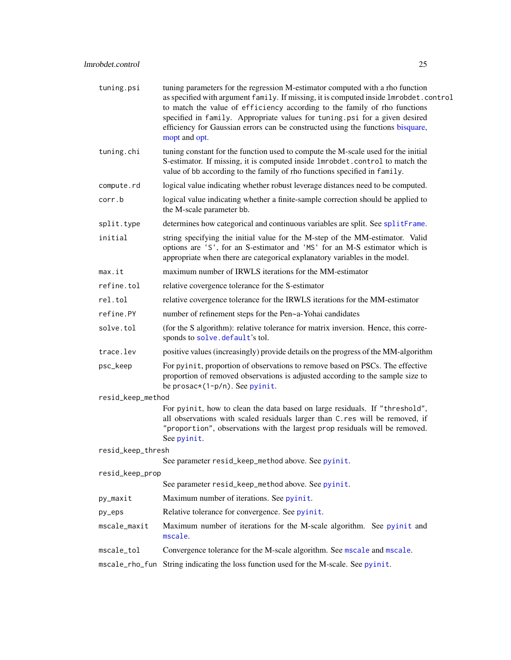<span id="page-24-0"></span>

| tuning.psi             | tuning parameters for the regression M-estimator computed with a rho function<br>as specified with argument family. If missing, it is computed inside lmrobdet.control<br>to match the value of efficiency according to the family of rho functions<br>specified in family. Appropriate values for tuning psi for a given desired<br>efficiency for Gaussian errors can be constructed using the functions bisquare,<br>mopt and opt. |  |
|------------------------|---------------------------------------------------------------------------------------------------------------------------------------------------------------------------------------------------------------------------------------------------------------------------------------------------------------------------------------------------------------------------------------------------------------------------------------|--|
| tuning.chi             | tuning constant for the function used to compute the M-scale used for the initial<br>S-estimator. If missing, it is computed inside 1mrobdet.control to match the<br>value of bb according to the family of rho functions specified in family.                                                                                                                                                                                        |  |
| compute.rd             | logical value indicating whether robust leverage distances need to be computed.                                                                                                                                                                                                                                                                                                                                                       |  |
| corr.b                 | logical value indicating whether a finite-sample correction should be applied to<br>the M-scale parameter bb.                                                                                                                                                                                                                                                                                                                         |  |
| split.type             | determines how categorical and continuous variables are split. See splitFrame.                                                                                                                                                                                                                                                                                                                                                        |  |
| initial                | string specifying the initial value for the M-step of the MM-estimator. Valid<br>options are 'S', for an S-estimator and 'MS' for an M-S estimator which is<br>appropriate when there are categorical explanatory variables in the model.                                                                                                                                                                                             |  |
| max.it                 | maximum number of IRWLS iterations for the MM-estimator                                                                                                                                                                                                                                                                                                                                                                               |  |
| refine.tol             | relative covergence tolerance for the S-estimator                                                                                                                                                                                                                                                                                                                                                                                     |  |
| rel.tol                | relative covergence tolerance for the IRWLS iterations for the MM-estimator                                                                                                                                                                                                                                                                                                                                                           |  |
| refine.PY              | number of refinement steps for the Pen~a-Yohai candidates                                                                                                                                                                                                                                                                                                                                                                             |  |
| solve.tol              | (for the S algorithm): relative tolerance for matrix inversion. Hence, this corre-<br>sponds to solve.default's tol.                                                                                                                                                                                                                                                                                                                  |  |
| trace.lev              | positive values (increasingly) provide details on the progress of the MM-algorithm                                                                                                                                                                                                                                                                                                                                                    |  |
| psc_keep               | For pyinit, proportion of observations to remove based on PSCs. The effective<br>proportion of removed observations is adjusted according to the sample size to<br>be prosac* $(1-p/n)$ . See pyinit.                                                                                                                                                                                                                                 |  |
| resid_keep_method      |                                                                                                                                                                                                                                                                                                                                                                                                                                       |  |
|                        | For pyinit, how to clean the data based on large residuals. If "threshold",<br>all observations with scaled residuals larger than C.res will be removed, if<br>"proportion", observations with the largest prop residuals will be removed.<br>See pyinit.                                                                                                                                                                             |  |
| resid_keep_thresh      |                                                                                                                                                                                                                                                                                                                                                                                                                                       |  |
|                        | See parameter resid_keep_method above. See pyinit.                                                                                                                                                                                                                                                                                                                                                                                    |  |
| resid_keep_prop        | See parameter resid_keep_method above. See pyinit.                                                                                                                                                                                                                                                                                                                                                                                    |  |
| py_maxit               | Maximum number of iterations. See pyinit.                                                                                                                                                                                                                                                                                                                                                                                             |  |
|                        | Relative tolerance for convergence. See pyinit.                                                                                                                                                                                                                                                                                                                                                                                       |  |
| py_eps<br>mscale_maxit | Maximum number of iterations for the M-scale algorithm. See pyinit and                                                                                                                                                                                                                                                                                                                                                                |  |
|                        | mscale.                                                                                                                                                                                                                                                                                                                                                                                                                               |  |
| mscale_tol             | Convergence tolerance for the M-scale algorithm. See mscale and mscale.                                                                                                                                                                                                                                                                                                                                                               |  |
| mscale_rho_fun         | String indicating the loss function used for the M-scale. See pyinit.                                                                                                                                                                                                                                                                                                                                                                 |  |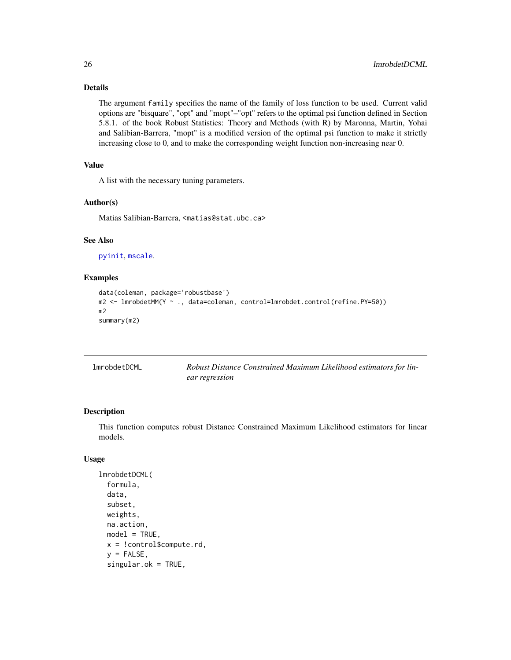# Details

The argument family specifies the name of the family of loss function to be used. Current valid options are "bisquare", "opt" and "mopt"–"opt" refers to the optimal psi function defined in Section 5.8.1. of the book Robust Statistics: Theory and Methods (with R) by Maronna, Martin, Yohai and Salibian-Barrera, "mopt" is a modified version of the optimal psi function to make it strictly increasing close to 0, and to make the corresponding weight function non-increasing near 0.

# Value

A list with the necessary tuning parameters.

#### Author(s)

Matias Salibian-Barrera, <matias@stat.ubc.ca>

# See Also

[pyinit](#page-0-0), [mscale](#page-52-1).

#### Examples

```
data(coleman, package='robustbase')
m2 <- lmrobdetMM(Y ~ ., data=coleman, control=lmrobdet.control(refine.PY=50))
m2
summary(m2)
```
<span id="page-25-1"></span>

| <b>lmrobdetDCML</b> | Robust Distance Constrained Maximum Likelihood estimators for lin- |
|---------------------|--------------------------------------------------------------------|
|                     | ear regression                                                     |

# Description

This function computes robust Distance Constrained Maximum Likelihood estimators for linear models.

#### Usage

```
lmrobdetDCML(
  formula,
  data,
  subset,
  weights,
 na.action,
 model = TRUE,
 x = !control$compute.rd,
  y =FALSE,
  singular.ok = TRUE,
```
<span id="page-25-0"></span>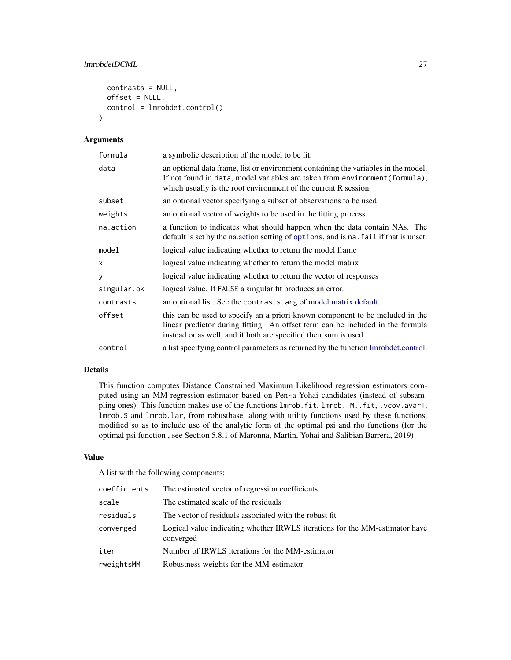# <span id="page-26-0"></span>lmrobdetDCML 27

```
contrasts = NULL,
 offset = NULL,
 control = lmrobdet.control()
)
```
# Arguments

| formula     | a symbolic description of the model to be fit.                                                                                                                                                                                       |
|-------------|--------------------------------------------------------------------------------------------------------------------------------------------------------------------------------------------------------------------------------------|
| data        | an optional data frame, list or environment containing the variables in the model.<br>If not found in data, model variables are taken from environment (formula),<br>which usually is the root environment of the current R session. |
| subset      | an optional vector specifying a subset of observations to be used.                                                                                                                                                                   |
| weights     | an optional vector of weights to be used in the fitting process.                                                                                                                                                                     |
| na.action   | a function to indicates what should happen when the data contain NAs. The<br>default is set by the naluppoint setting of options, and is nalightarily if that is unset.                                                              |
| model       | logical value indicating whether to return the model frame                                                                                                                                                                           |
| x           | logical value indicating whether to return the model matrix                                                                                                                                                                          |
| y           | logical value indicating whether to return the vector of responses                                                                                                                                                                   |
| singular.ok | logical value. If FALSE a singular fit produces an error.                                                                                                                                                                            |
| contrasts   | an optional list. See the contrasts. arg of model.matrix.default.                                                                                                                                                                    |
| offset      | this can be used to specify an a priori known component to be included in the<br>linear predictor during fitting. An offset term can be included in the formula<br>instead or as well, and if both are specified their sum is used.  |
| control     | a list specifying control parameters as returned by the function Imrobdet.control.                                                                                                                                                   |

#### Details

This function computes Distance Constrained Maximum Likelihood regression estimators computed using an MM-regression estimator based on Pen~a-Yohai candidates (instead of subsampling ones). This function makes use of the functions lmrob.fit, lmrob..M..fit, .vcov.avar1, lmrob.S and lmrob.lar, from robustbase, along with utility functions used by these functions, modified so as to include use of the analytic form of the optimal psi and rho functions (for the optimal psi function , see Section 5.8.1 of Maronna, Martin, Yohai and Salibian Barrera, 2019)

#### Value

A list with the following components:

| coefficients | The estimated vector of regression coefficients                                          |
|--------------|------------------------------------------------------------------------------------------|
| scale        | The estimated scale of the residuals                                                     |
| residuals    | The vector of residuals associated with the robust fit.                                  |
| converged    | Logical value indicating whether IRWLS iterations for the MM-estimator have<br>converged |
| iter         | Number of IRWLS iterations for the MM-estimator                                          |
| rweightsMM   | Robustness weights for the MM-estimator                                                  |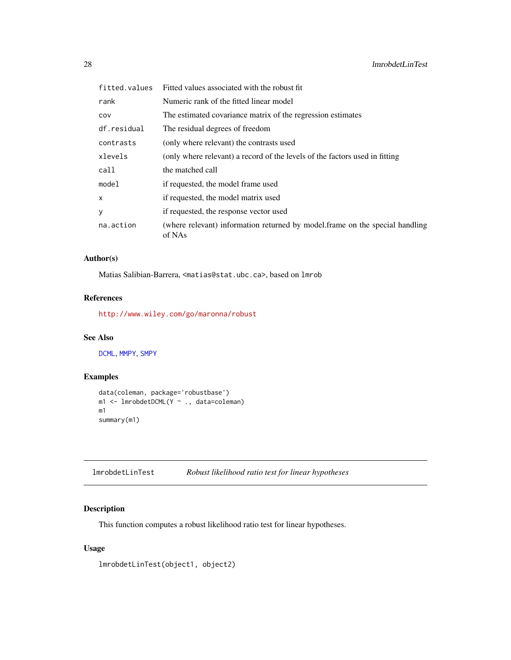<span id="page-27-0"></span>

| fitted.values | Fitted values associated with the robust fit.                                          |
|---------------|----------------------------------------------------------------------------------------|
| rank          | Numeric rank of the fitted linear model                                                |
| COV           | The estimated covariance matrix of the regression estimates                            |
| df.residual   | The residual degrees of freedom                                                        |
| contrasts     | (only where relevant) the contrasts used                                               |
| xlevels       | (only where relevant) a record of the levels of the factors used in fitting            |
| call          | the matched call                                                                       |
| model         | if requested, the model frame used                                                     |
| x             | if requested, the model matrix used                                                    |
| у             | if requested, the response vector used                                                 |
| na.action     | (where relevant) information returned by model.frame on the special handling<br>of NAs |

# Author(s)

Matias Salibian-Barrera, <matias@stat.ubc.ca>, based on lmrob

# References

<http://www.wiley.com/go/maronna/robust>

# See Also

[DCML](#page-13-1), [MMPY](#page-41-1), [SMPY](#page-54-1)

# Examples

```
data(coleman, package='robustbase')
m1 <- lmrobdetDCML(Y ~ ., data=coleman)
m1
summary(m1)
```

| lmrobdetLinTest | Robust likelihood ratio test for linear hypotheses |  |  |
|-----------------|----------------------------------------------------|--|--|
|-----------------|----------------------------------------------------|--|--|

# Description

This function computes a robust likelihood ratio test for linear hypotheses.

# Usage

lmrobdetLinTest(object1, object2)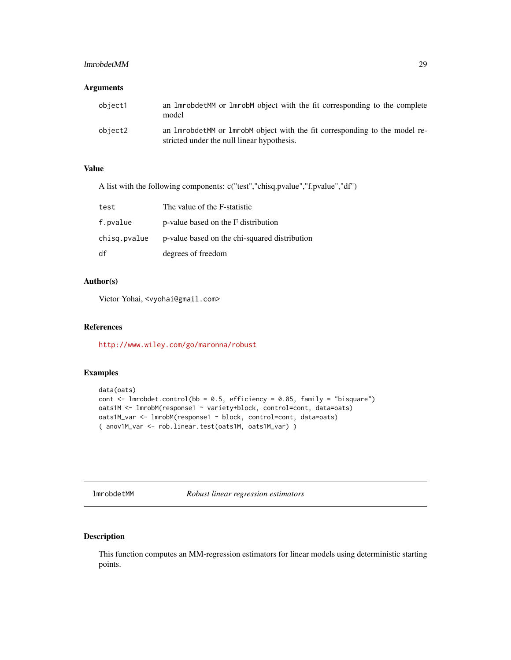#### <span id="page-28-0"></span>lmrobdetMM 29

### Arguments

| object1 | an 1 mrobdet MM or 1 mrob M object with the fit corresponding to the complete<br>model                                       |
|---------|------------------------------------------------------------------------------------------------------------------------------|
| object2 | an 1 mrobdet MM or 1 mrob M object with the fit corresponding to the model re-<br>stricted under the null linear hypothesis. |

# Value

A list with the following components: c("test","chisq.pvalue","f.pvalue","df")

| test         | The value of the F-statistic                  |
|--------------|-----------------------------------------------|
| f.pvalue     | p-value based on the F distribution           |
| chisg.pvalue | p-value based on the chi-squared distribution |
| df           | degrees of freedom                            |

#### Author(s)

Victor Yohai, <vyohai@gmail.com>

#### References

<http://www.wiley.com/go/maronna/robust>

### Examples

```
data(oats)
cont \le 1mrobdet.control(bb = 0.5, efficiency = 0.85, family = "bisquare")
oats1M <- lmrobM(response1 ~ variety+block, control=cont, data=oats)
oats1M_var <- lmrobM(response1 ~ block, control=cont, data=oats)
( anov1M_var <- rob.linear.test(oats1M, oats1M_var) )
```
<span id="page-28-1"></span>lmrobdetMM *Robust linear regression estimators*

# Description

This function computes an MM-regression estimators for linear models using deterministic starting points.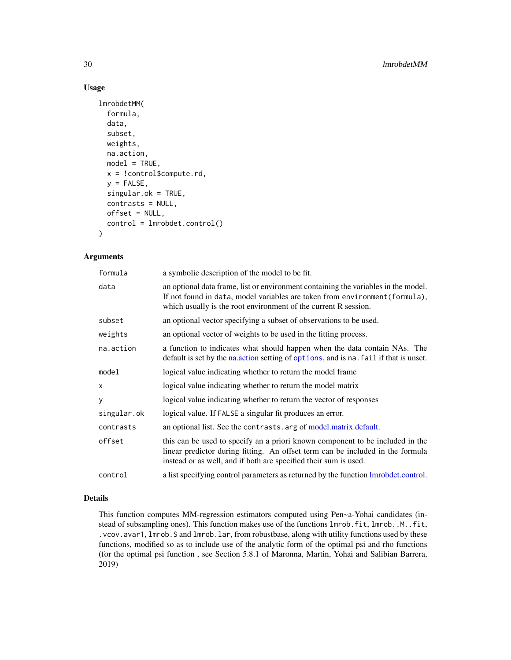# Usage

```
lmrobdetMM(
  formula,
  data,
  subset,
  weights,
  na.action,
 model = TRUE,x = !control$compute.rd,
  y =FALSE,
  singular.ok = TRUE,
  contrasts = NULL,
  offset = NULL,control = lmrobdet.control()
)
```
# Arguments

| formula     | a symbolic description of the model to be fit.                                                                                                                                                                                       |
|-------------|--------------------------------------------------------------------------------------------------------------------------------------------------------------------------------------------------------------------------------------|
| data        | an optional data frame, list or environment containing the variables in the model.<br>If not found in data, model variables are taken from environment (formula),<br>which usually is the root environment of the current R session. |
| subset      | an optional vector specifying a subset of observations to be used.                                                                                                                                                                   |
| weights     | an optional vector of weights to be used in the fitting process.                                                                                                                                                                     |
| na.action   | a function to indicates what should happen when the data contain NAs. The<br>default is set by the nation setting of options, and is national if that is unset.                                                                      |
| model       | logical value indicating whether to return the model frame                                                                                                                                                                           |
| x           | logical value indicating whether to return the model matrix                                                                                                                                                                          |
| У           | logical value indicating whether to return the vector of responses                                                                                                                                                                   |
| singular.ok | logical value. If FALSE a singular fit produces an error.                                                                                                                                                                            |
| contrasts   | an optional list. See the contrasts arg of model matrix default.                                                                                                                                                                     |
| offset      | this can be used to specify an a priori known component to be included in the<br>linear predictor during fitting. An offset term can be included in the formula<br>instead or as well, and if both are specified their sum is used.  |
| control     | a list specifying control parameters as returned by the function lmrobdet.control.                                                                                                                                                   |

# Details

This function computes MM-regression estimators computed using Pen~a-Yohai candidates (instead of subsampling ones). This function makes use of the functions lmrob.fit, lmrob.M.fit, .vcov.avar1, lmrob.S and lmrob.lar, from robustbase, along with utility functions used by these functions, modified so as to include use of the analytic form of the optimal psi and rho functions (for the optimal psi function , see Section 5.8.1 of Maronna, Martin, Yohai and Salibian Barrera, 2019)

<span id="page-29-0"></span>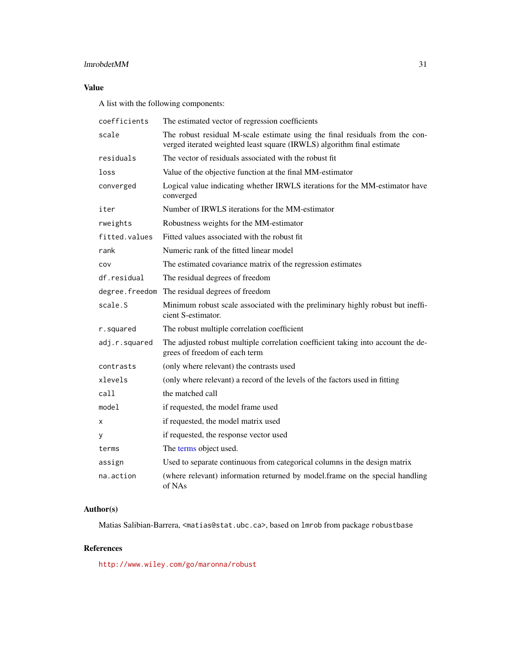# <span id="page-30-0"></span>lmrobdetMM 31

# Value

A list with the following components:

| coefficients   | The estimated vector of regression coefficients                                                                                                        |  |
|----------------|--------------------------------------------------------------------------------------------------------------------------------------------------------|--|
| scale          | The robust residual M-scale estimate using the final residuals from the con-<br>verged iterated weighted least square (IRWLS) algorithm final estimate |  |
| residuals      | The vector of residuals associated with the robust fit.                                                                                                |  |
| loss           | Value of the objective function at the final MM-estimator                                                                                              |  |
| converged      | Logical value indicating whether IRWLS iterations for the MM-estimator have<br>converged                                                               |  |
| iter           | Number of IRWLS iterations for the MM-estimator                                                                                                        |  |
| rweights       | Robustness weights for the MM-estimator                                                                                                                |  |
| fitted.values  | Fitted values associated with the robust fit.                                                                                                          |  |
| rank           | Numeric rank of the fitted linear model                                                                                                                |  |
| COV            | The estimated covariance matrix of the regression estimates                                                                                            |  |
| df.residual    | The residual degrees of freedom                                                                                                                        |  |
| degree.freedom | The residual degrees of freedom                                                                                                                        |  |
| scale.S        | Minimum robust scale associated with the preliminary highly robust but ineffi-<br>cient S-estimator.                                                   |  |
| r.squared      | The robust multiple correlation coefficient                                                                                                            |  |
| adj.r.squared  | The adjusted robust multiple correlation coefficient taking into account the de-<br>grees of freedom of each term                                      |  |
| contrasts      | (only where relevant) the contrasts used                                                                                                               |  |
| xlevels        | (only where relevant) a record of the levels of the factors used in fitting                                                                            |  |
| call           | the matched call                                                                                                                                       |  |
| model          | if requested, the model frame used                                                                                                                     |  |
| X              | if requested, the model matrix used                                                                                                                    |  |
| у              | if requested, the response vector used                                                                                                                 |  |
| terms          | The terms object used.                                                                                                                                 |  |
| assign         | Used to separate continuous from categorical columns in the design matrix                                                                              |  |
| na.action      | (where relevant) information returned by model.frame on the special handling<br>of NAs                                                                 |  |

# Author(s)

Matias Salibian-Barrera, <matias@stat.ubc.ca>, based on lmrob from package robustbase

# References

<http://www.wiley.com/go/maronna/robust>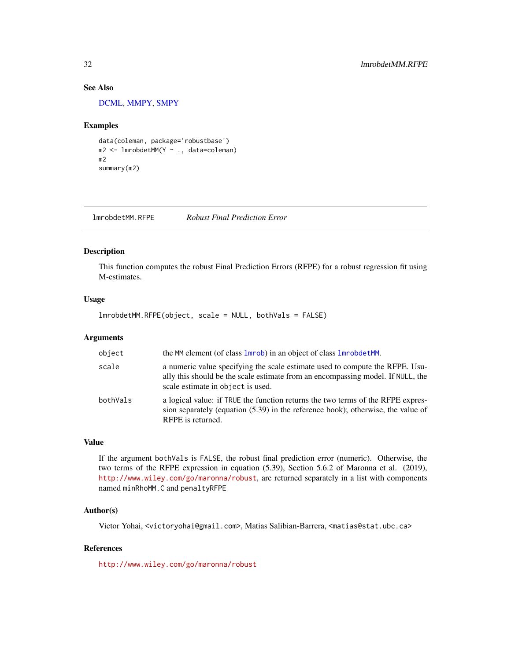# See Also

[DCML,](#page-13-1) [MMPY,](#page-41-1) [SMPY](#page-54-1)

#### Examples

```
data(coleman, package='robustbase')
m2 <- lmrobdetMM(Y ~ ., data=coleman)
m2
summary(m2)
```
lmrobdetMM.RFPE *Robust Final Prediction Error*

#### Description

This function computes the robust Final Prediction Errors (RFPE) for a robust regression fit using M-estimates.

#### Usage

lmrobdetMM.RFPE(object, scale = NULL, bothVals = FALSE)

#### Arguments

| object   | the MM element (of class 1mrob) in an object of class 1mrobdet MM.                                                                                                                                   |
|----------|------------------------------------------------------------------------------------------------------------------------------------------------------------------------------------------------------|
| scale    | a numeric value specifying the scale estimate used to compute the RFPE. Usu-<br>ally this should be the scale estimate from an encompassing model. If NULL, the<br>scale estimate in object is used. |
| bothVals | a logical value: if TRUE the function returns the two terms of the RFPE expres-<br>sion separately (equation $(5.39)$ ) in the reference book); otherwise, the value of<br>RFPE is returned.         |

#### Value

If the argument bothVals is FALSE, the robust final prediction error (numeric). Otherwise, the two terms of the RFPE expression in equation (5.39), Section 5.6.2 of Maronna et al. (2019), <http://www.wiley.com/go/maronna/robust>, are returned separately in a list with components named minRhoMM.C and penaltyRFPE

# Author(s)

Victor Yohai, <victoryohai@gmail.com>, Matias Salibian-Barrera, <matias@stat.ubc.ca>

### References

<http://www.wiley.com/go/maronna/robust>

<span id="page-31-0"></span>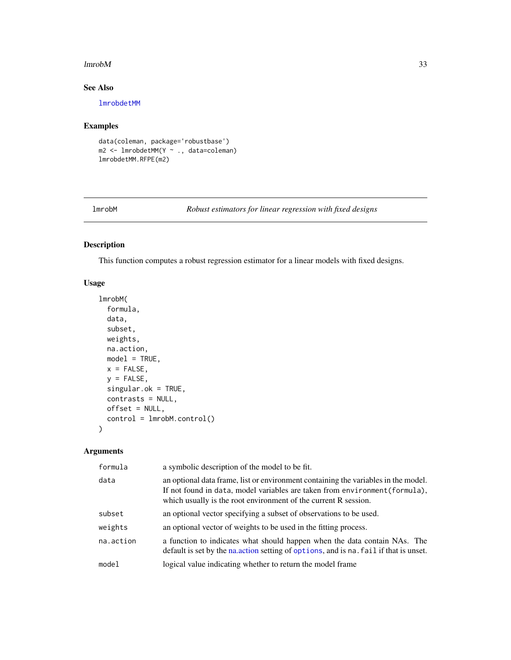#### <span id="page-32-0"></span> $lmrobM$  33

# See Also

[lmrobdetMM](#page-28-1)

# Examples

data(coleman, package='robustbase') m2 <- lmrobdetMM(Y ~ ., data=coleman) lmrobdetMM.RFPE(m2)

<span id="page-32-1"></span>lmrobM *Robust estimators for linear regression with fixed designs*

# Description

This function computes a robust regression estimator for a linear models with fixed designs.

# Usage

```
lmrobM(
  formula,
  data,
  subset,
 weights,
 na.action,
 model = TRUE,x =FALSE,
 y =FALSE,
  singular.ok = TRUE,
 contrasts = NULL,
 offset = NULL,
  control = lmrobM.control()
)
```
# Arguments

| formula   | a symbolic description of the model to be fit.                                                                                                                                                                                       |
|-----------|--------------------------------------------------------------------------------------------------------------------------------------------------------------------------------------------------------------------------------------|
| data      | an optional data frame, list or environment containing the variables in the model.<br>If not found in data, model variables are taken from environment (formula),<br>which usually is the root environment of the current R session. |
| subset    | an optional vector specifying a subset of observations to be used.                                                                                                                                                                   |
| weights   | an optional vector of weights to be used in the fitting process.                                                                                                                                                                     |
| na.action | a function to indicates what should happen when the data contain NAs. The<br>default is set by the nation setting of options, and is national if that is unset.                                                                      |
| model     | logical value indicating whether to return the model frame                                                                                                                                                                           |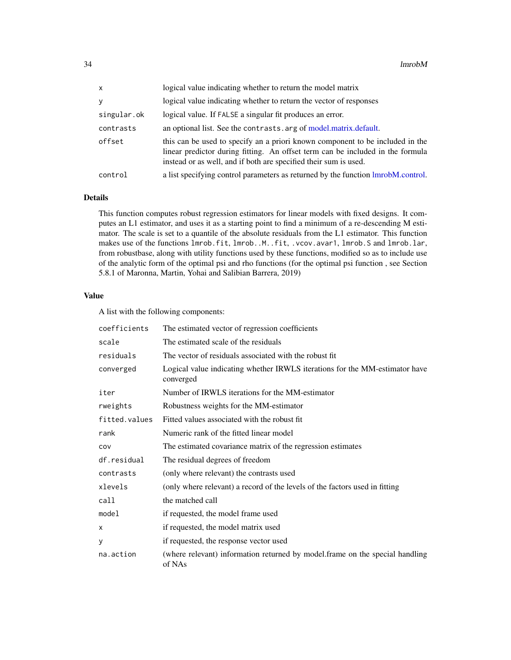<span id="page-33-0"></span>

| X           | logical value indicating whether to return the model matrix                                                                                                                                                                         |
|-------------|-------------------------------------------------------------------------------------------------------------------------------------------------------------------------------------------------------------------------------------|
| V           | logical value indicating whether to return the vector of responses                                                                                                                                                                  |
| singular.ok | logical value. If FALSE a singular fit produces an error.                                                                                                                                                                           |
| contrasts   | an optional list. See the contrasts arg of model matrix default.                                                                                                                                                                    |
| offset      | this can be used to specify an a priori known component to be included in the<br>linear predictor during fitting. An offset term can be included in the formula<br>instead or as well, and if both are specified their sum is used. |
| control     | a list specifying control parameters as returned by the function lmrobM.control.                                                                                                                                                    |

# Details

This function computes robust regression estimators for linear models with fixed designs. It computes an L1 estimator, and uses it as a starting point to find a minimum of a re-descending M estimator. The scale is set to a quantile of the absolute residuals from the L1 estimator. This function makes use of the functions lmrob.fit, lmrob..M..fit, .vcov.avar1, lmrob.S and lmrob.lar, from robustbase, along with utility functions used by these functions, modified so as to include use of the analytic form of the optimal psi and rho functions (for the optimal psi function , see Section 5.8.1 of Maronna, Martin, Yohai and Salibian Barrera, 2019)

### Value

A list with the following components:

| coefficients  | The estimated vector of regression coefficients                                          |
|---------------|------------------------------------------------------------------------------------------|
| scale         | The estimated scale of the residuals                                                     |
| residuals     | The vector of residuals associated with the robust fit.                                  |
| converged     | Logical value indicating whether IRWLS iterations for the MM-estimator have<br>converged |
| iter          | Number of IRWLS iterations for the MM-estimator                                          |
| rweights      | Robustness weights for the MM-estimator                                                  |
| fitted.values | Fitted values associated with the robust fit.                                            |
| rank          | Numeric rank of the fitted linear model                                                  |
| COV           | The estimated covariance matrix of the regression estimates                              |
| df.residual   | The residual degrees of freedom                                                          |
| contrasts     | (only where relevant) the contrasts used                                                 |
| xlevels       | (only where relevant) a record of the levels of the factors used in fitting              |
| call          | the matched call                                                                         |
| model         | if requested, the model frame used                                                       |
| X             | if requested, the model matrix used                                                      |
| у             | if requested, the response vector used                                                   |
| na.action     | (where relevant) information returned by model.frame on the special handling<br>of NAs   |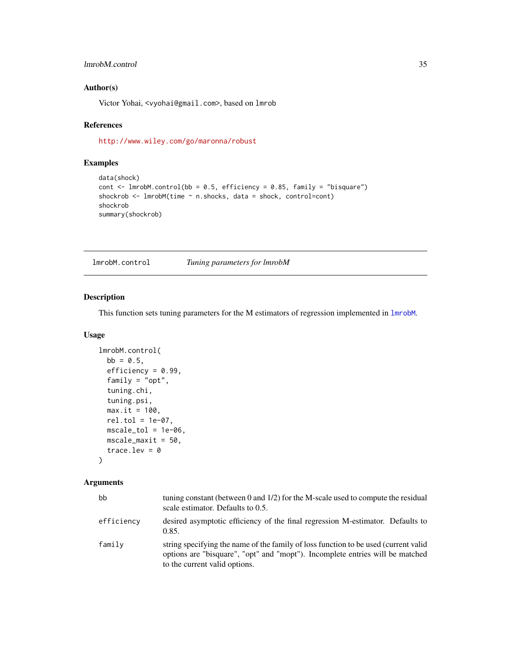# <span id="page-34-0"></span>lmrobM.control 35

# Author(s)

Victor Yohai, <vyohai@gmail.com>, based on lmrob

#### References

<http://www.wiley.com/go/maronna/robust>

# Examples

```
data(shock)
cont \le 1mrobM.control(bb = 0.5, efficiency = 0.85, family = "bisquare")
shockrob <- lmrobM(time ~ n.shocks, data = shock, control=cont)
shockrob
summary(shockrob)
```
<span id="page-34-1"></span>lmrobM.control *Tuning parameters for lmrobM*

# Description

This function sets tuning parameters for the M estimators of regression implemented in [lmrobM](#page-32-1).

# Usage

```
lmrobM.control(
 bb = 0.5,
  efficiency = 0.99,
  family = "opt",
  tuning.chi,
  tuning.psi,
  max.it = 100,rel.tol = 1e-07,mscale_tol = 1e-06,
 mscale_maxit = 50,trace.lev = \theta)
```
# Arguments

| hh         | tuning constant (between 0 and $1/2$ ) for the M-scale used to compute the residual<br>scale estimator. Defaults to 0.5.                                                                              |
|------------|-------------------------------------------------------------------------------------------------------------------------------------------------------------------------------------------------------|
| efficiencv | desired asymptotic efficiency of the final regression M-estimator. Defaults to<br>0.85.                                                                                                               |
| family     | string specifying the name of the family of loss function to be used (current valid<br>options are "bisquare", "opt" and "mopt"). Incomplete entries will be matched<br>to the current valid options. |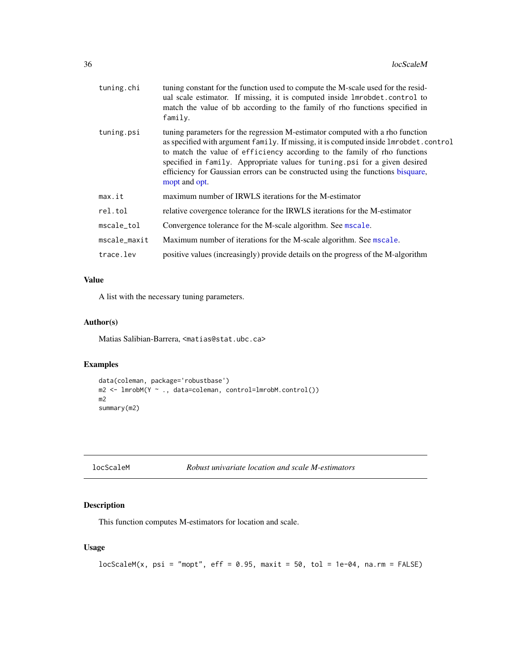<span id="page-35-0"></span>

| tuning.chi   | tuning constant for the function used to compute the M-scale used for the resid-<br>ual scale estimator. If missing, it is computed inside 1mrobdet.control to<br>match the value of bb according to the family of rho functions specified in<br>family.                                                                                                                                                                              |
|--------------|---------------------------------------------------------------------------------------------------------------------------------------------------------------------------------------------------------------------------------------------------------------------------------------------------------------------------------------------------------------------------------------------------------------------------------------|
| tuning.psi   | tuning parameters for the regression M-estimator computed with a rho function<br>as specified with argument family. If missing, it is computed inside lmrobdet.control<br>to match the value of efficiency according to the family of rho functions<br>specified in family. Appropriate values for tuning psi for a given desired<br>efficiency for Gaussian errors can be constructed using the functions bisquare,<br>mopt and opt. |
| max.it       | maximum number of IRWLS iterations for the M-estimator                                                                                                                                                                                                                                                                                                                                                                                |
| rel.tol      | relative covergence tolerance for the IRWLS iterations for the M-estimator                                                                                                                                                                                                                                                                                                                                                            |
| mscale_tol   | Convergence tolerance for the M-scale algorithm. See mscale.                                                                                                                                                                                                                                                                                                                                                                          |
| mscale_maxit | Maximum number of iterations for the M-scale algorithm. See mscale.                                                                                                                                                                                                                                                                                                                                                                   |
| trace.lev    | positive values (increasingly) provide details on the progress of the M-algorithm                                                                                                                                                                                                                                                                                                                                                     |

# Value

A list with the necessary tuning parameters.

# Author(s)

Matias Salibian-Barrera, <matias@stat.ubc.ca>

#### Examples

```
data(coleman, package='robustbase')
m2 <- lmrobM(Y ~ ., data=coleman, control=lmrobM.control())
m2
summary(m2)
```

| locScaleM |  |
|-----------|--|
|-----------|--|

```
Robust univariate location and scale M-estimators
```
#### Description

This function computes M-estimators for location and scale.

# Usage

```
locScaleM(x, psi = "mopt", eff = 0.95, maxit = 50, tol = 1e-04, na.rm = FALSE)
```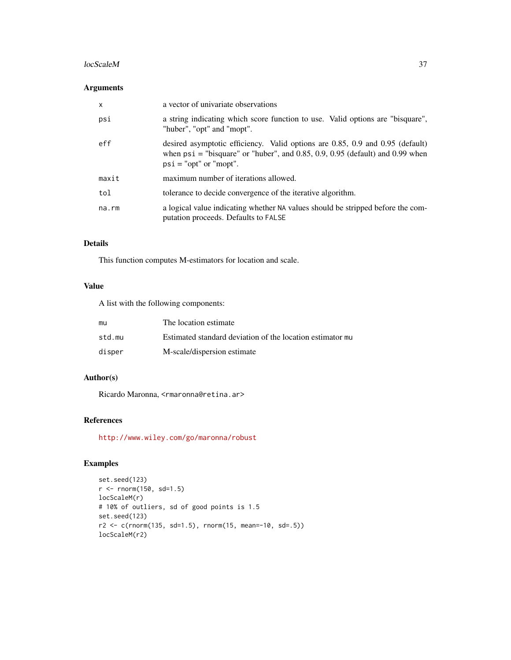#### locScaleM 37

# Arguments

| $\mathsf{x}$ | a vector of univariate observations                                                                                                                                                          |
|--------------|----------------------------------------------------------------------------------------------------------------------------------------------------------------------------------------------|
| psi          | a string indicating which score function to use. Valid options are "bisquare",<br>"huber", "opt" and "mopt".                                                                                 |
| eff          | desired asymptotic efficiency. Valid options are 0.85, 0.9 and 0.95 (default)<br>when $psi =$ "bisquare" or "huber", and 0.85, 0.9, 0.95 (default) and 0.99 when<br>$psi = "opt"$ or "mopt". |
| maxit        | maximum number of iterations allowed.                                                                                                                                                        |
| tol          | tolerance to decide convergence of the iterative algorithm.                                                                                                                                  |
| na.rm        | a logical value indicating whether NA values should be stripped before the com-<br>putation proceeds. Defaults to FALSE                                                                      |

# Details

This function computes M-estimators for location and scale.

# Value

A list with the following components:

| mu     | The location estimate                                     |
|--------|-----------------------------------------------------------|
| std.mu | Estimated standard deviation of the location estimator mu |
| disper | M-scale/dispersion estimate                               |

# Author(s)

Ricardo Maronna, <rmaronna@retina.ar>

# References

<http://www.wiley.com/go/maronna/robust>

```
set.seed(123)
r <- rnorm(150, sd=1.5)
locScaleM(r)
# 10% of outliers, sd of good points is 1.5
set.seed(123)
r2 \leq c(\text{rnorm}(135, \text{ sd=1.5}), \text{rnorm}(15, \text{mean=10}, \text{ sd=}.5))locScaleM(r2)
```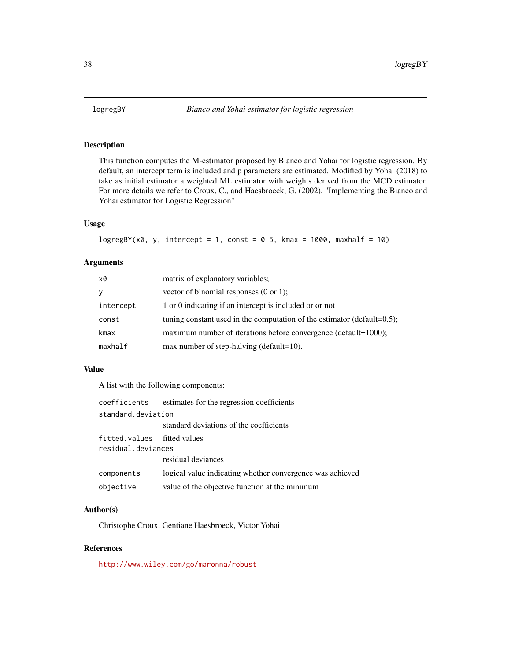<span id="page-37-0"></span>

This function computes the M-estimator proposed by Bianco and Yohai for logistic regression. By default, an intercept term is included and p parameters are estimated. Modified by Yohai (2018) to take as initial estimator a weighted ML estimator with weights derived from the MCD estimator. For more details we refer to Croux, C., and Haesbroeck, G. (2002), "Implementing the Bianco and Yohai estimator for Logistic Regression"

### Usage

```
logregBY(x0, y, intercept = 1, const = 0.5, kmax = 1000, maxhalf = 10)
```
# Arguments

| x0        | matrix of explanatory variables;                                            |
|-----------|-----------------------------------------------------------------------------|
| У         | vector of binomial responses $(0 \text{ or } 1)$ ;                          |
| intercept | 1 or 0 indicating if an intercept is included or or not                     |
| const     | tuning constant used in the computation of the estimator (default= $0.5$ ); |
| kmax      | maximum number of iterations before convergence (default=1000);             |
| maxhalf   | max number of step-halving (default= $10$ ).                                |

#### Value

A list with the following components:

| coefficients                                      | estimates for the regression coefficients                 |
|---------------------------------------------------|-----------------------------------------------------------|
| standard.deviation                                |                                                           |
|                                                   | standard deviations of the coefficients                   |
| fitted.values fitted values<br>residual.deviances |                                                           |
|                                                   | residual deviances                                        |
| components                                        | logical value indicating whether convergence was achieved |
| objective                                         | value of the objective function at the minimum            |

#### Author(s)

Christophe Croux, Gentiane Haesbroeck, Victor Yohai

### References

<http://www.wiley.com/go/maronna/robust>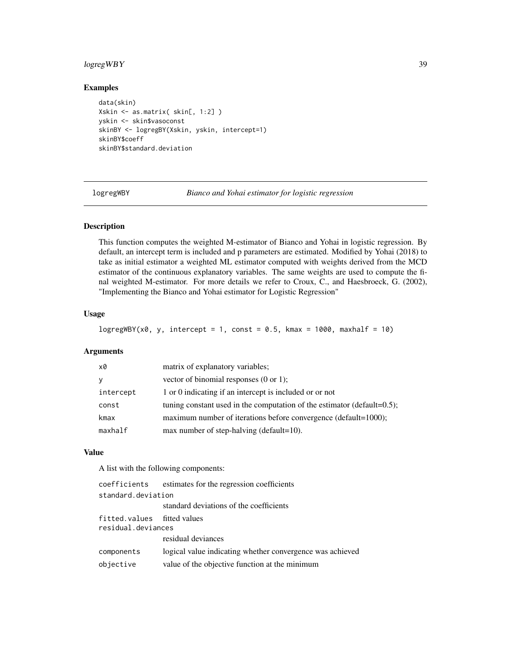# <span id="page-38-0"></span>logregWBY 39

# Examples

```
data(skin)
Xskin <- as.matrix( skin[, 1:2] )
yskin <- skin$vasoconst
skinBY <- logregBY(Xskin, yskin, intercept=1)
skinBY$coeff
skinBY$standard.deviation
```
logregWBY *Bianco and Yohai estimator for logistic regression*

# Description

This function computes the weighted M-estimator of Bianco and Yohai in logistic regression. By default, an intercept term is included and p parameters are estimated. Modified by Yohai (2018) to take as initial estimator a weighted ML estimator computed with weights derived from the MCD estimator of the continuous explanatory variables. The same weights are used to compute the final weighted M-estimator. For more details we refer to Croux, C., and Haesbroeck, G. (2002), "Implementing the Bianco and Yohai estimator for Logistic Regression"

#### Usage

```
logregWBY(x0, y, intercept = 1, const = 0.5, kmax = 1000, maxhalf = 10)
```
#### Arguments

| x0        | matrix of explanatory variables;                                            |
|-----------|-----------------------------------------------------------------------------|
| <b>y</b>  | vector of binomial responses $(0 \text{ or } 1)$ ;                          |
| intercept | 1 or 0 indicating if an intercept is included or or not                     |
| const     | tuning constant used in the computation of the estimator (default= $0.5$ ); |
| kmax      | maximum number of iterations before convergence (default= $1000$ );         |
| maxhalf   | max number of step-halving (default= $10$ ).                                |

#### Value

A list with the following components:

| coefficients                | estimates for the regression coefficients                 |  |
|-----------------------------|-----------------------------------------------------------|--|
| standard.deviation          |                                                           |  |
|                             | standard deviations of the coefficients                   |  |
| fitted.values fitted values |                                                           |  |
| residual.deviances          |                                                           |  |
|                             | residual deviances                                        |  |
| components                  | logical value indicating whether convergence was achieved |  |
| objective                   | value of the objective function at the minimum            |  |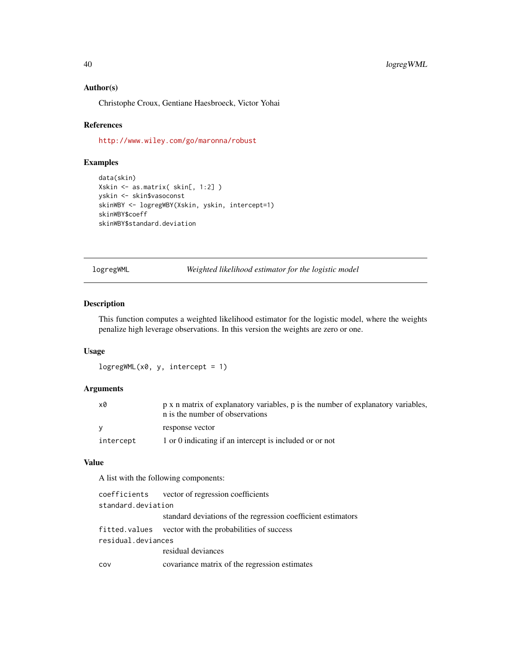#### <span id="page-39-0"></span>Author(s)

Christophe Croux, Gentiane Haesbroeck, Victor Yohai

#### References

<http://www.wiley.com/go/maronna/robust>

# Examples

```
data(skin)
Xskin <- as.matrix( skin[, 1:2] )
yskin <- skin$vasoconst
skinWBY <- logregWBY(Xskin, yskin, intercept=1)
skinWBY$coeff
skinWBY$standard.deviation
```
logregWML *Weighted likelihood estimator for the logistic model*

# Description

This function computes a weighted likelihood estimator for the logistic model, where the weights penalize high leverage observations. In this version the weights are zero or one.

#### Usage

```
logregWML(x0, y, intercept = 1)
```
#### Arguments

| x0        | p x n matrix of explanatory variables, p is the number of explanatory variables,<br>n is the number of observations |
|-----------|---------------------------------------------------------------------------------------------------------------------|
|           | response vector                                                                                                     |
| intercept | 1 or 0 indicating if an intercept is included or or not                                                             |

# Value

A list with the following components:

|                    | coefficients vector of regression coefficients               |
|--------------------|--------------------------------------------------------------|
| standard.deviation |                                                              |
|                    | standard deviations of the regression coefficient estimators |
|                    | fitted values vector with the probabilities of success       |
| residual.deviances |                                                              |
|                    | residual deviances                                           |
| COV                | covariance matrix of the regression estimates                |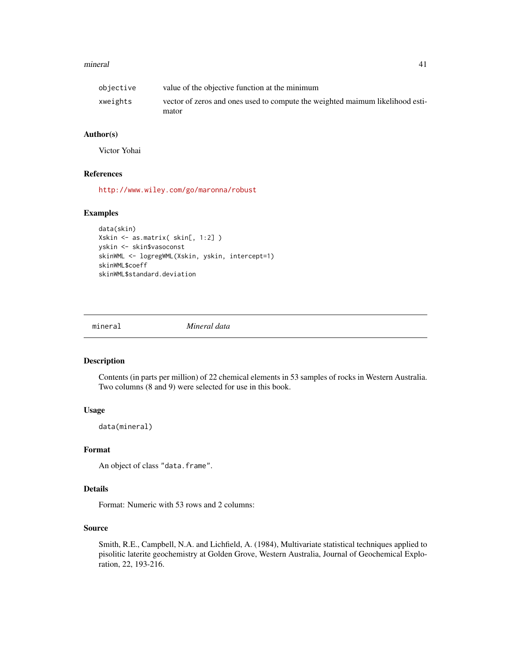#### <span id="page-40-0"></span>mineral and the contract of the contract of the contract of the contract of the contract of the contract of the contract of the contract of the contract of the contract of the contract of the contract of the contract of th

| objective | value of the objective function at the minimum                                |
|-----------|-------------------------------------------------------------------------------|
| xweights  | vector of zeros and ones used to compute the weighted maimum likelihood esti- |
|           | mator                                                                         |

# Author(s)

Victor Yohai

# References

<http://www.wiley.com/go/maronna/robust>

#### Examples

```
data(skin)
Xskin <- as.matrix( skin[, 1:2] )
yskin <- skin$vasoconst
skinWML <- logregWML(Xskin, yskin, intercept=1)
skinWML$coeff
skinWML$standard.deviation
```
mineral *Mineral data*

#### Description

Contents (in parts per million) of 22 chemical elements in 53 samples of rocks in Western Australia. Two columns (8 and 9) were selected for use in this book.

# Usage

data(mineral)

#### Format

An object of class "data.frame".

# Details

Format: Numeric with 53 rows and 2 columns:

## Source

Smith, R.E., Campbell, N.A. and Lichfield, A. (1984), Multivariate statistical techniques applied to pisolitic laterite geochemistry at Golden Grove, Western Australia, Journal of Geochemical Exploration, 22, 193-216.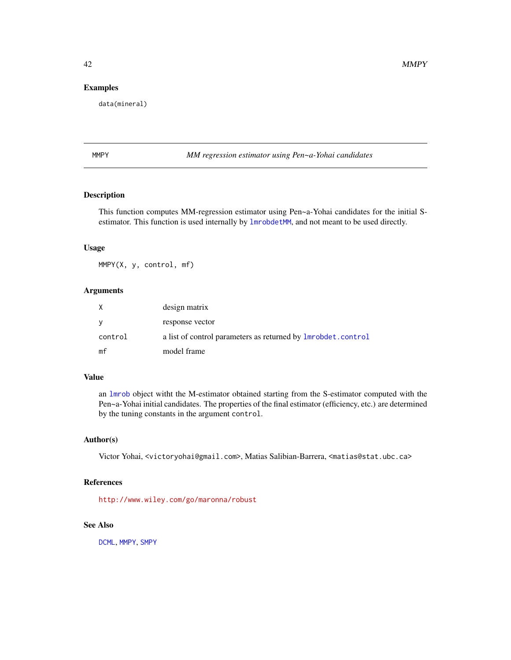# <span id="page-41-0"></span>Examples

data(mineral)

<span id="page-41-1"></span>MMPY *MM regression estimator using Pen~a-Yohai candidates*

# Description

This function computes MM-regression estimator using Pen~a-Yohai candidates for the initial Sestimator. This function is used internally by [lmrobdetMM](#page-28-1), and not meant to be used directly.

#### Usage

MMPY(X, y, control, mf)

# Arguments

| X       | design matrix                                                |
|---------|--------------------------------------------------------------|
| y       | response vector                                              |
| control | a list of control parameters as returned by lmrobdet.control |
| mf      | model frame                                                  |

# Value

an [lmrob](#page-0-0) object witht the M-estimator obtained starting from the S-estimator computed with the Pen~a-Yohai initial candidates. The properties of the final estimator (efficiency, etc.) are determined by the tuning constants in the argument control.

# Author(s)

Victor Yohai, <victoryohai@gmail.com>, Matias Salibian-Barrera, <matias@stat.ubc.ca>

# References

<http://www.wiley.com/go/maronna/robust>

#### See Also

[DCML](#page-13-1), [MMPY](#page-41-1), [SMPY](#page-54-1)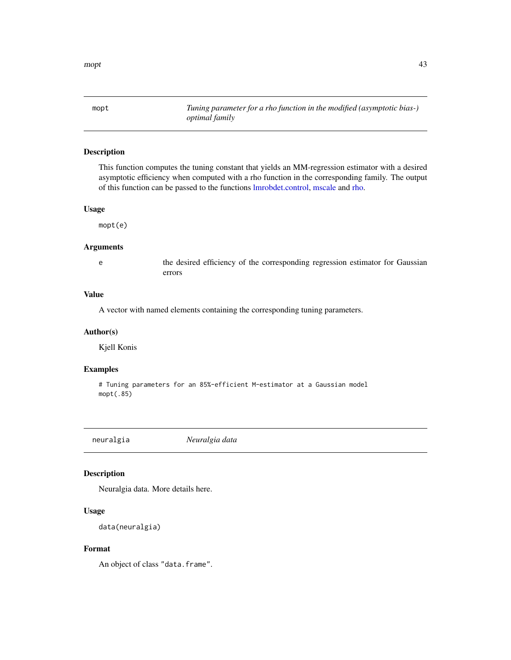<span id="page-42-1"></span><span id="page-42-0"></span>mopt *Tuning parameter for a rho function in the modified (asymptotic bias-) optimal family*

#### Description

This function computes the tuning constant that yields an MM-regression estimator with a desired asymptotic efficiency when computed with a rho function in the corresponding family. The output of this function can be passed to the functions [lmrobdet.control,](#page-23-1) [mscale](#page-52-1) and [rho.](#page-49-1)

#### Usage

mopt(e)

# Arguments

e the desired efficiency of the corresponding regression estimator for Gaussian errors

# Value

A vector with named elements containing the corresponding tuning parameters.

#### Author(s)

Kjell Konis

#### Examples

```
# Tuning parameters for an 85%-efficient M-estimator at a Gaussian model
mopt(.85)
```
neuralgia *Neuralgia data*

# Description

Neuralgia data. More details here.

#### Usage

```
data(neuralgia)
```
### Format

An object of class "data.frame".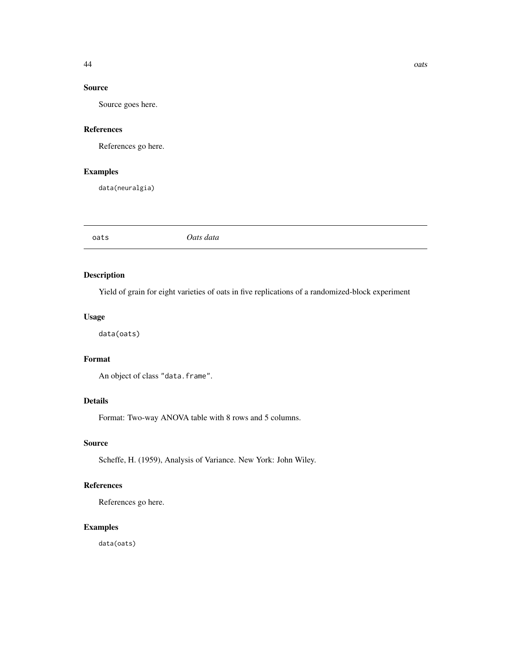# <span id="page-43-0"></span>Source

Source goes here.

# References

References go here.

# Examples

data(neuralgia)

oats *Oats data*

# Description

Yield of grain for eight varieties of oats in five replications of a randomized-block experiment

# Usage

data(oats)

# Format

An object of class "data.frame".

# Details

Format: Two-way ANOVA table with 8 rows and 5 columns.

#### Source

Scheffe, H. (1959), Analysis of Variance. New York: John Wiley.

# References

References go here.

# Examples

data(oats)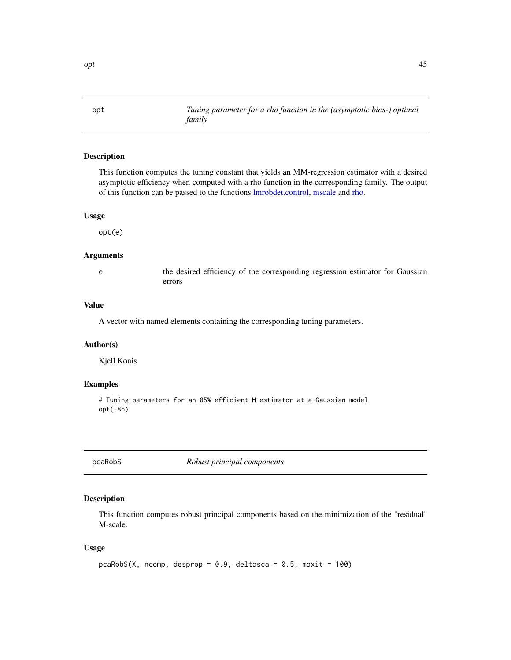<span id="page-44-1"></span><span id="page-44-0"></span>opt *Tuning parameter for a rho function in the (asymptotic bias-) optimal family*

# Description

This function computes the tuning constant that yields an MM-regression estimator with a desired asymptotic efficiency when computed with a rho function in the corresponding family. The output of this function can be passed to the functions [lmrobdet.control,](#page-23-1) [mscale](#page-52-1) and [rho.](#page-49-1)

#### Usage

opt(e)

# Arguments

e the desired efficiency of the corresponding regression estimator for Gaussian errors

# Value

A vector with named elements containing the corresponding tuning parameters.

#### Author(s)

Kjell Konis

# Examples

# Tuning parameters for an 85%-efficient M-estimator at a Gaussian model opt(.85)

pcaRobS *Robust principal components*

#### Description

This function computes robust principal components based on the minimization of the "residual" M-scale.

### Usage

```
pcaRobS(X, ncomp, desprop = 0.9, deltasca = 0.5, maxit = 100)
```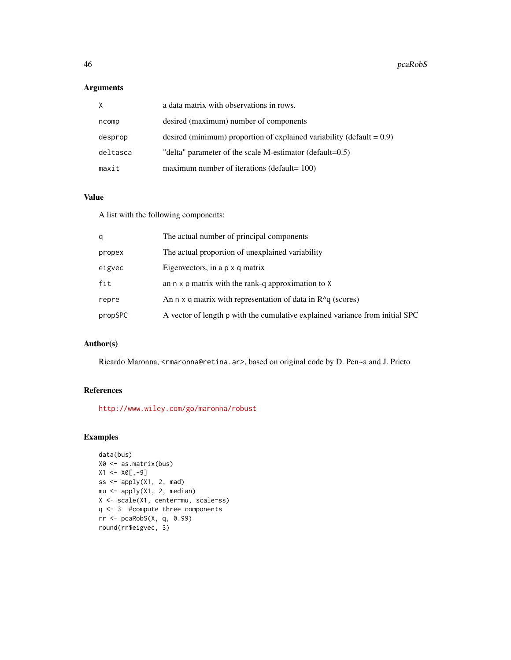# Arguments

| X        | a data matrix with observations in rows.                                 |
|----------|--------------------------------------------------------------------------|
| ncomp    | desired (maximum) number of components                                   |
| desprop  | desired (minimum) proportion of explained variability (default $= 0.9$ ) |
| deltasca | "delta" parameter of the scale M-estimator (default=0.5)                 |
| maxit    | maximum number of iterations (default= $100$ )                           |

# Value

A list with the following components:

| q       | The actual number of principal components                                    |
|---------|------------------------------------------------------------------------------|
| propex  | The actual proportion of unexplained variability                             |
| eigvec  | Eigenvectors, in a p x q matrix                                              |
| fit     | an $n \times p$ matrix with the rank-q approximation to $X$                  |
| repre   | An $n \times q$ matrix with representation of data in $R^q$ (scores)         |
| propSPC | A vector of length p with the cumulative explained variance from initial SPC |
|         |                                                                              |

# Author(s)

Ricardo Maronna, <rmaronna@retina.ar>, based on original code by D. Pen~a and J. Prieto

# References

<http://www.wiley.com/go/maronna/robust>

```
data(bus)
X0 <- as.matrix(bus)
X1 < - X0[,-9]ss \leq apply(X1, 2, mad)
mu <- apply(X1, 2, median)
X <- scale(X1, center=mu, scale=ss)
q <- 3 #compute three components
rr <- pcaRobS(X, q, 0.99)
round(rr$eigvec, 3)
```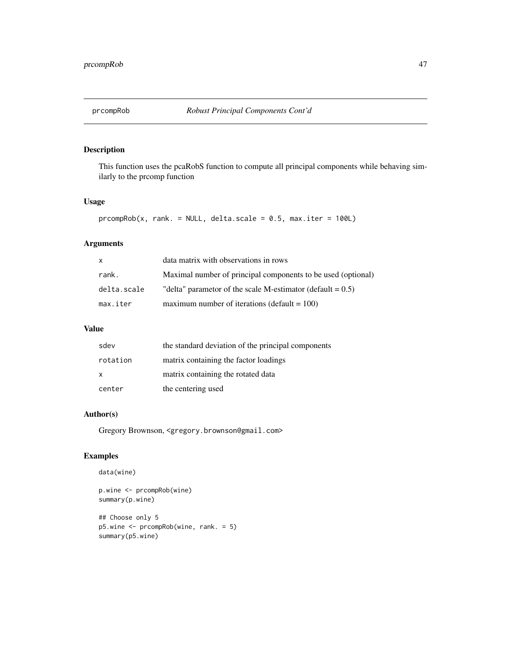<span id="page-46-0"></span>

This function uses the pcaRobS function to compute all principal components while behaving similarly to the prcomp function

# Usage

```
proompRob(x, rank. = NULL, delta.scale = 0.5, max.iter = 100L)
```
# Arguments

| x           | data matrix with observations in rows                         |
|-------------|---------------------------------------------------------------|
| rank.       | Maximal number of principal components to be used (optional)  |
| delta.scale | "delta" parametor of the scale M-estimator (default = $0.5$ ) |
| max.iter    | maximum number of iterations (default $= 100$ )               |

# Value

| sdev         | the standard deviation of the principal components |
|--------------|----------------------------------------------------|
| rotation     | matrix containing the factor loadings              |
| $\mathsf{x}$ | matrix containing the rotated data                 |
| center       | the centering used                                 |

# Author(s)

Gregory Brownson, <gregory.brownson@gmail.com>

# Examples

```
data(wine)
```
p.wine <- prcompRob(wine) summary(p.wine)

## Choose only 5 p5.wine <- prcompRob(wine, rank. = 5) summary(p5.wine)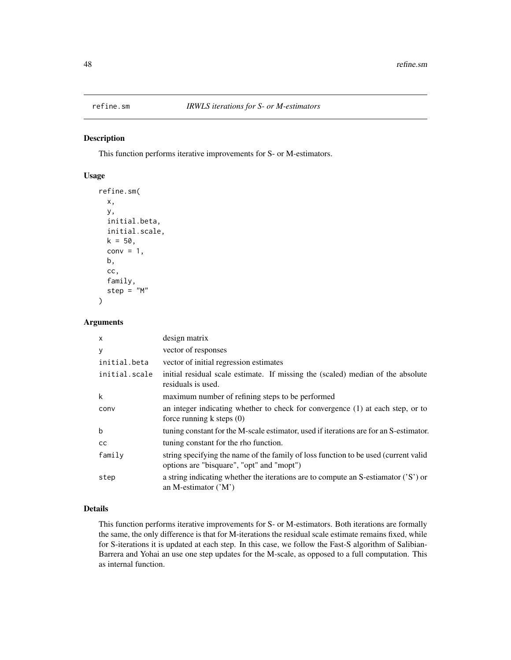<span id="page-47-0"></span>

This function performs iterative improvements for S- or M-estimators.

# Usage

```
refine.sm(
 x,
 y,
 initial.beta,
  initial.scale,
 k = 50,
  conv = 1,
 b,
  cc,
  family,
  step = M'')
```
# Arguments

| $\mathsf{x}$  | design matrix                                                                                                                    |
|---------------|----------------------------------------------------------------------------------------------------------------------------------|
| У             | vector of responses                                                                                                              |
| initial.beta  | vector of initial regression estimates                                                                                           |
| initial.scale | initial residual scale estimate. If missing the (scaled) median of the absolute<br>residuals is used.                            |
| k             | maximum number of refining steps to be performed                                                                                 |
| conv          | an integer indicating whether to check for convergence (1) at each step, or to<br>force running $k$ steps $(0)$                  |
| b             | tuning constant for the M-scale estimator, used if iterations are for an S-estimator.                                            |
| <sub>CC</sub> | tuning constant for the rho function.                                                                                            |
| family        | string specifying the name of the family of loss function to be used (current valid<br>options are "bisquare", "opt" and "mopt") |
| step          | a string indicating whether the iterations are to compute an S-estiamator $('S')$ or<br>an M-estimator $('M')$                   |

# Details

This function performs iterative improvements for S- or M-estimators. Both iterations are formally the same, the only difference is that for M-iterations the residual scale estimate remains fixed, while for S-iterations it is updated at each step. In this case, we follow the Fast-S algorithm of Salibian-Barrera and Yohai an use one step updates for the M-scale, as opposed to a full computation. This as internal function.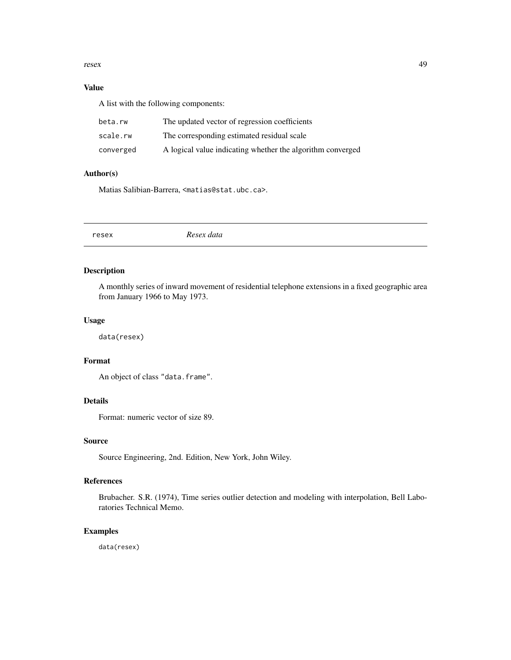#### <span id="page-48-0"></span>resex and the set of the set of the set of the set of the set of the set of the set of the set of the set of the set of the set of the set of the set of the set of the set of the set of the set of the set of the set of the

# Value

A list with the following components:

| beta.rw   | The updated vector of regression coefficients              |
|-----------|------------------------------------------------------------|
| scale.rw  | The corresponding estimated residual scale                 |
| converged | A logical value indicating whether the algorithm converged |

# Author(s)

Matias Salibian-Barrera, <matias@stat.ubc.ca>.

| resex | Resex data |
|-------|------------|
|       |            |

# Description

A monthly series of inward movement of residential telephone extensions in a fixed geographic area from January 1966 to May 1973.

# Usage

data(resex)

#### Format

An object of class "data.frame".

# Details

Format: numeric vector of size 89.

# Source

Source Engineering, 2nd. Edition, New York, John Wiley.

# References

Brubacher. S.R. (1974), Time series outlier detection and modeling with interpolation, Bell Laboratories Technical Memo.

# Examples

data(resex)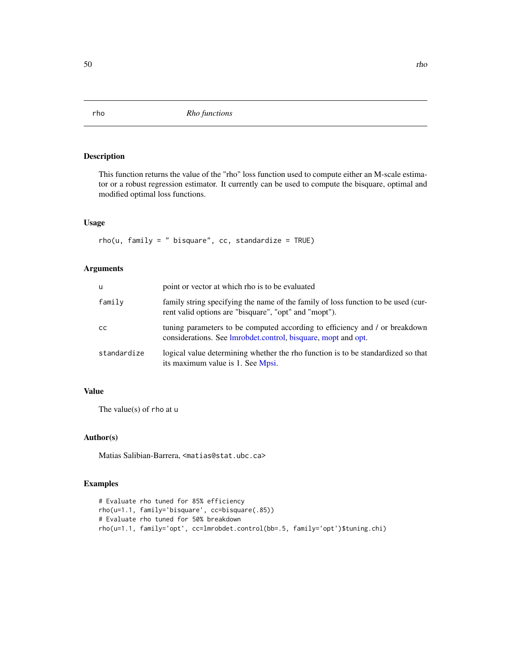This function returns the value of the "rho" loss function used to compute either an M-scale estimator or a robust regression estimator. It currently can be used to compute the bisquare, optimal and modified optimal loss functions.

#### Usage

 $rho(u, family = " bisquare", cc, standardize = TRUE)$ 

#### Arguments

| u           | point or vector at which rho is to be evaluated                                                                                              |
|-------------|----------------------------------------------------------------------------------------------------------------------------------------------|
| family      | family string specifying the name of the family of loss function to be used (cur-<br>rent valid options are "bisquare", "opt" and "mopt").   |
| cс          | tuning parameters to be computed according to efficiency and / or breakdown<br>considerations. See Imrobdet.control, bisquare, mopt and opt. |
| standardize | logical value determining whether the rho function is to be standardized so that<br>its maximum value is 1. See Mpsi.                        |

# Value

The value(s) of rho at u

#### Author(s)

Matias Salibian-Barrera, <matias@stat.ubc.ca>

```
# Evaluate rho tuned for 85% efficiency
rho(u=1.1, family='bisquare', cc=bisquare(.85))
# Evaluate rho tuned for 50% breakdown
rho(u=1.1, family='opt', cc=lmrobdet.control(bb=.5, family='opt')$tuning.chi)
```
<span id="page-49-1"></span><span id="page-49-0"></span>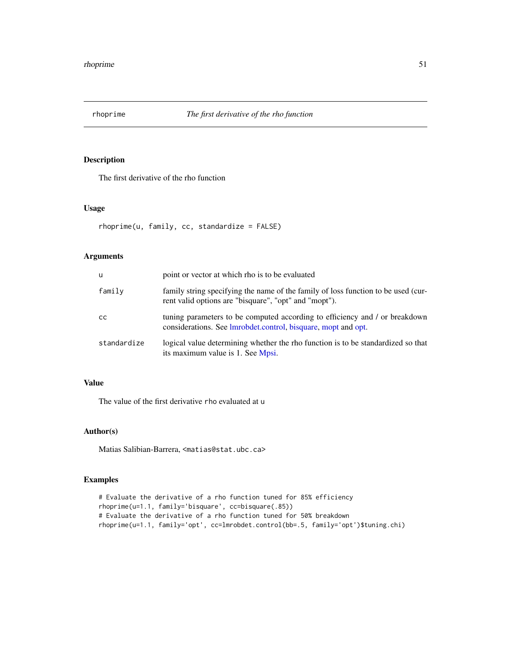<span id="page-50-0"></span>

The first derivative of the rho function

### Usage

rhoprime(u, family, cc, standardize = FALSE)

# Arguments

| $\mathbf{u}$ | point or vector at which rho is to be evaluated                                                                                              |
|--------------|----------------------------------------------------------------------------------------------------------------------------------------------|
| family       | family string specifying the name of the family of loss function to be used (cur-<br>rent valid options are "bisquare", "opt" and "mopt").   |
| CC.          | tuning parameters to be computed according to efficiency and / or breakdown<br>considerations. See Imrobdet.control, bisquare, mopt and opt. |
| standardize  | logical value determining whether the rho function is to be standardized so that<br>its maximum value is 1. See Mpsi.                        |

# Value

The value of the first derivative rho evaluated at u

# Author(s)

Matias Salibian-Barrera, <matias@stat.ubc.ca>

```
# Evaluate the derivative of a rho function tuned for 85% efficiency
rhoprime(u=1.1, family='bisquare', cc=bisquare(.85))
# Evaluate the derivative of a rho function tuned for 50% breakdown
rhoprime(u=1.1, family='opt', cc=lmrobdet.control(bb=.5, family='opt')$tuning.chi)
```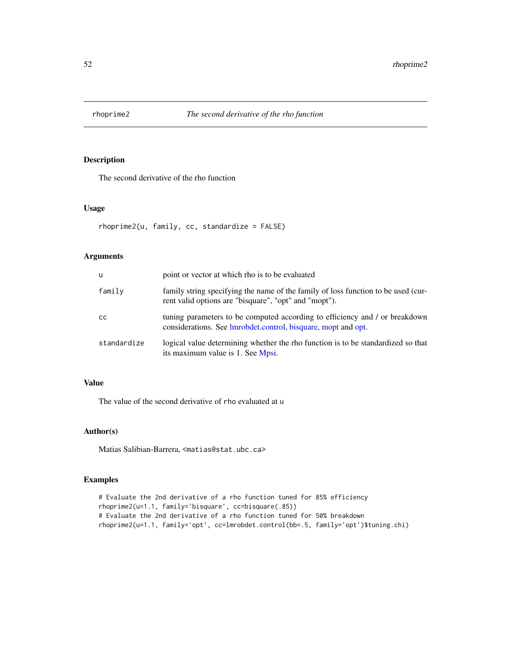<span id="page-51-0"></span>

The second derivative of the rho function

### Usage

```
rhoprime2(u, family, cc, standardize = FALSE)
```
# Arguments

| <b>u</b>    | point or vector at which rho is to be evaluated                                                                                                      |
|-------------|------------------------------------------------------------------------------------------------------------------------------------------------------|
| family      | family string specifying the name of the family of loss function to be used (cur-<br>rent valid options are "bisquare", "opt" and "mopt").           |
| <b>CC</b>   | tuning parameters to be computed according to efficiency and / or breakdown<br>considerations. See <i>Imrobdet.control</i> , bisquare, mopt and opt. |
| standardize | logical value determining whether the rho function is to be standardized so that<br>its maximum value is 1. See Mpsi.                                |

#### Value

The value of the second derivative of rho evaluated at u

# Author(s)

Matias Salibian-Barrera, <matias@stat.ubc.ca>

```
# Evaluate the 2nd derivative of a rho function tuned for 85% efficiency
rhoprime2(u=1.1, family='bisquare', cc=bisquare(.85))
# Evaluate the 2nd derivative of a rho function tuned for 50% breakdown
rhoprime2(u=1.1, family='opt', cc=lmrobdet.control(bb=.5, family='opt')$tuning.chi)
```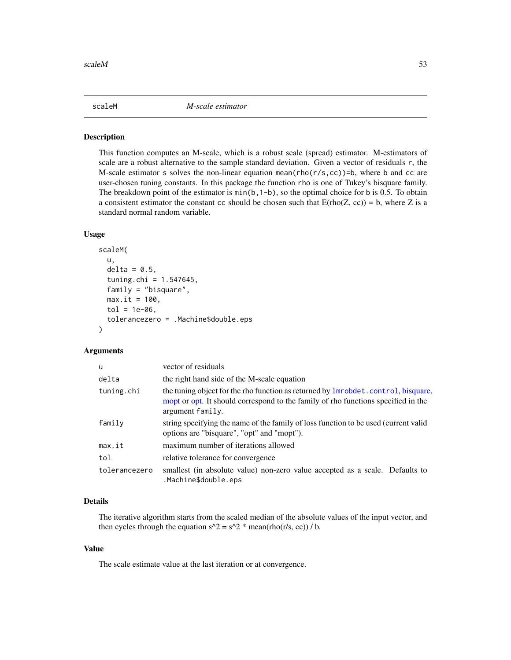<span id="page-52-1"></span><span id="page-52-0"></span>This function computes an M-scale, which is a robust scale (spread) estimator. M-estimators of scale are a robust alternative to the sample standard deviation. Given a vector of residuals r, the M-scale estimator s solves the non-linear equation mean( $rho(r/s, cc)$ )=b, where b and cc are user-chosen tuning constants. In this package the function rho is one of Tukey's bisquare family. The breakdown point of the estimator is  $min(b, 1-b)$ , so the optimal choice for b is 0.5. To obtain a consistent estimator the constant cc should be chosen such that  $E(\text{rho}(Z, cc)) = b$ , where Z is a standard normal random variable.

# Usage

```
scaleM(
  u,
  delta = 0.5,
  tuning.chi = 1.547645,
  family = "bisquare",
 max.it = 100,
  tol = 1e-06,
  tolerancezero = .Machine$double.eps
)
```
# Arguments

| u             | vector of residuals                                                                                                                                                                        |  |
|---------------|--------------------------------------------------------------------------------------------------------------------------------------------------------------------------------------------|--|
| delta         | the right hand side of the M-scale equation                                                                                                                                                |  |
| tuning.chi    | the tuning object for the rho function as returned by lmrobdet.control, bisquare,<br>mopt or opt. It should correspond to the family of rho functions specified in the<br>argument family. |  |
| family        | string specifying the name of the family of loss function to be used (current valid<br>options are "bisquare", "opt" and "mopt").                                                          |  |
| max.it        | maximum number of iterations allowed                                                                                                                                                       |  |
| tol           | relative tolerance for convergence                                                                                                                                                         |  |
| tolerancezero | smallest (in absolute value) non-zero value accepted as a scale. Defaults to<br>.Machine\$double.eps                                                                                       |  |

#### Details

The iterative algorithm starts from the scaled median of the absolute values of the input vector, and then cycles through the equation  $s^2 = s^2 * \text{mean}(\text{rho}(r/s, cc)) / b$ .

# Value

The scale estimate value at the last iteration or at convergence.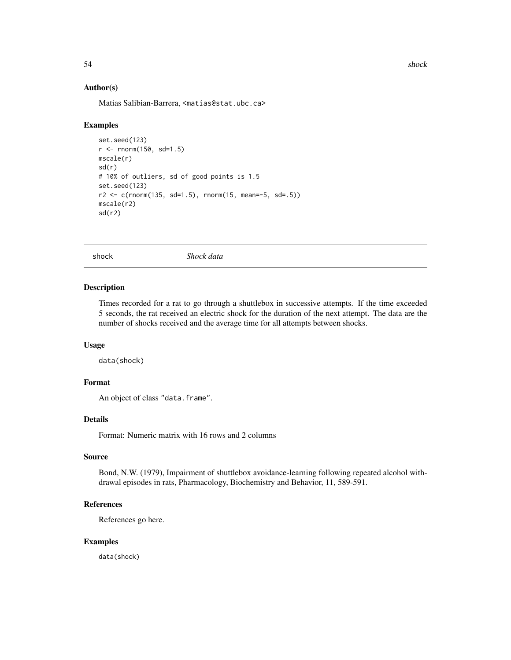54 shock shock shock shock shock shock shock

#### Author(s)

Matias Salibian-Barrera, <matias@stat.ubc.ca>

#### Examples

```
set.seed(123)
r <- rnorm(150, sd=1.5)
mscale(r)
sd(r)
# 10% of outliers, sd of good points is 1.5
set.seed(123)
r2 \leq c (rnorm(135, sd=1.5), rnorm(15, mean=-5, sd=.5))
mscale(r2)
sd(r2)
```
shock *Shock data*

#### Description

Times recorded for a rat to go through a shuttlebox in successive attempts. If the time exceeded 5 seconds, the rat received an electric shock for the duration of the next attempt. The data are the number of shocks received and the average time for all attempts between shocks.

#### Usage

data(shock)

#### Format

An object of class "data.frame".

#### Details

Format: Numeric matrix with 16 rows and 2 columns

#### Source

Bond, N.W. (1979), Impairment of shuttlebox avoidance-learning following repeated alcohol withdrawal episodes in rats, Pharmacology, Biochemistry and Behavior, 11, 589-591.

# References

References go here.

# Examples

data(shock)

<span id="page-53-0"></span>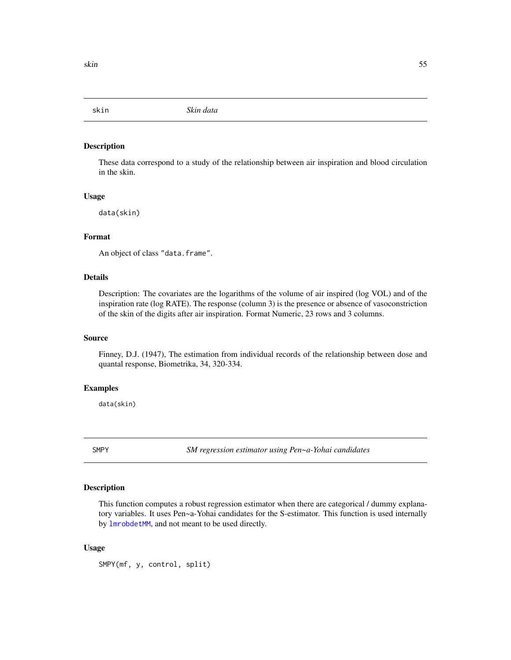<span id="page-54-0"></span>

These data correspond to a study of the relationship between air inspiration and blood circulation in the skin.

# Usage

data(skin)

#### Format

An object of class "data.frame".

#### Details

Description: The covariates are the logarithms of the volume of air inspired (log VOL) and of the inspiration rate (log RATE). The response (column 3) is the presence or absence of vasoconstriction of the skin of the digits after air inspiration. Format Numeric, 23 rows and 3 columns.

#### Source

Finney, D.J. (1947), The estimation from individual records of the relationship between dose and quantal response, Biometrika, 34, 320-334.

#### Examples

data(skin)

<span id="page-54-1"></span>

SMPY *SM regression estimator using Pen~a-Yohai candidates*

#### Description

This function computes a robust regression estimator when there are categorical / dummy explanatory variables. It uses Pen~a-Yohai candidates for the S-estimator. This function is used internally by [lmrobdetMM](#page-28-1), and not meant to be used directly.

#### Usage

SMPY(mf, y, control, split)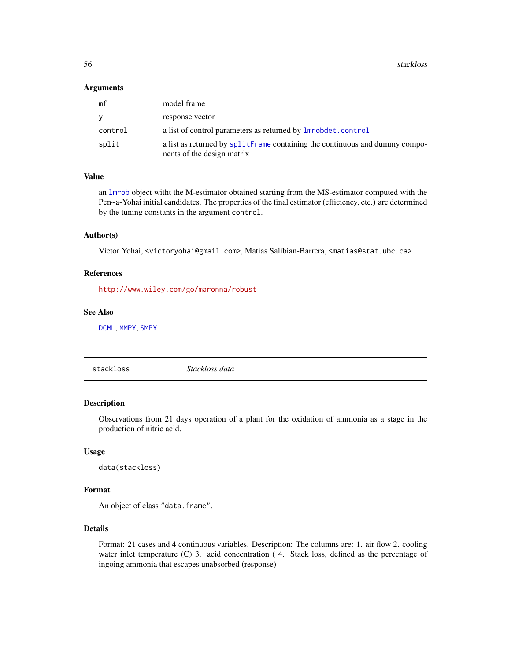<span id="page-55-0"></span>56 stackloss and the stackloss stackloss stackloss stackloss stackloss stackloss stackloss stackloss stackloss

#### Arguments

| mf      | model frame                                                                                               |
|---------|-----------------------------------------------------------------------------------------------------------|
| v       | response vector                                                                                           |
| control | a list of control parameters as returned by <b>lmrobdet</b> .control                                      |
| split   | a list as returned by splitFrame containing the continuous and dummy compo-<br>nents of the design matrix |

# Value

an [lmrob](#page-0-0) object witht the M-estimator obtained starting from the MS-estimator computed with the Pen~a-Yohai initial candidates. The properties of the final estimator (efficiency, etc.) are determined by the tuning constants in the argument control.

#### Author(s)

Victor Yohai, <victoryohai@gmail.com>, Matias Salibian-Barrera, <matias@stat.ubc.ca>

# References

<http://www.wiley.com/go/maronna/robust>

#### See Also

[DCML](#page-13-1), [MMPY](#page-41-1), [SMPY](#page-54-1)

stackloss *Stackloss data*

# Description

Observations from 21 days operation of a plant for the oxidation of ammonia as a stage in the production of nitric acid.

#### Usage

data(stackloss)

# Format

An object of class "data.frame".

# Details

Format: 21 cases and 4 continuous variables. Description: The columns are: 1. air flow 2. cooling water inlet temperature (C) 3. acid concentration (4. Stack loss, defined as the percentage of ingoing ammonia that escapes unabsorbed (response)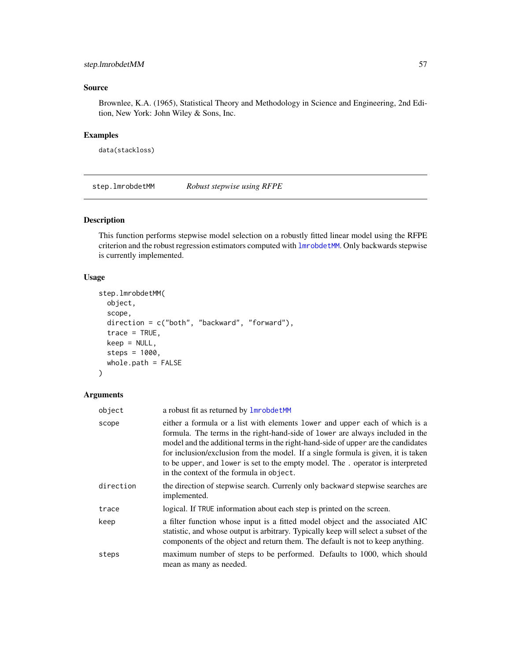# <span id="page-56-0"></span>step.lmrobdetMM 57

# Source

Brownlee, K.A. (1965), Statistical Theory and Methodology in Science and Engineering, 2nd Edition, New York: John Wiley & Sons, Inc.

# Examples

data(stackloss)

<span id="page-56-1"></span>step.lmrobdetMM *Robust stepwise using RFPE*

# Description

This function performs stepwise model selection on a robustly fitted linear model using the RFPE criterion and the robust regression estimators computed with [lmrobdetMM](#page-28-1). Only backwards stepwise is currently implemented.

#### Usage

```
step.lmrobdetMM(
  object,
  scope,
  direction = c("both", "backward", "forward"),
  trace = TRUE,keep = NULL,
  steps = 1000,
  whole.path = FALSE
)
```
# Arguments

| object    | a robust fit as returned by <b>lmrobdetMM</b>                                                                                                                                                                                                                                                                                                                                                                                                                         |
|-----------|-----------------------------------------------------------------------------------------------------------------------------------------------------------------------------------------------------------------------------------------------------------------------------------------------------------------------------------------------------------------------------------------------------------------------------------------------------------------------|
| scope     | either a formula or a list with elements lower and upper each of which is a<br>formula. The terms in the right-hand-side of lower are always included in the<br>model and the additional terms in the right-hand-side of upper are the candidates<br>for inclusion/exclusion from the model. If a single formula is given, it is taken<br>to be upper, and lower is set to the empty model. The . operator is interpreted<br>in the context of the formula in object. |
| direction | the direction of stepwise search. Currenly only backward stepwise searches are<br>implemented.                                                                                                                                                                                                                                                                                                                                                                        |
| trace     | logical. If TRUE information about each step is printed on the screen.                                                                                                                                                                                                                                                                                                                                                                                                |
| keep      | a filter function whose input is a fitted model object and the associated AIC<br>statistic, and whose output is arbitrary. Typically keep will select a subset of the<br>components of the object and return them. The default is not to keep anything.                                                                                                                                                                                                               |
| steps     | maximum number of steps to be performed. Defaults to 1000, which should<br>mean as many as needed.                                                                                                                                                                                                                                                                                                                                                                    |
|           |                                                                                                                                                                                                                                                                                                                                                                                                                                                                       |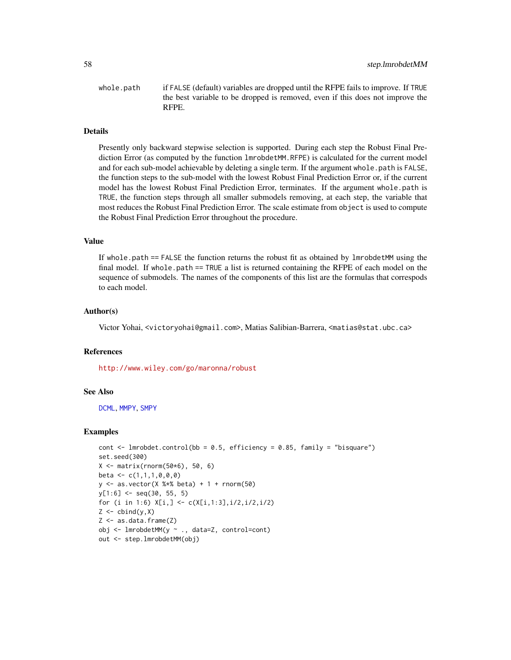<span id="page-57-0"></span>whole.path if FALSE (default) variables are dropped until the RFPE fails to improve. If TRUE the best variable to be dropped is removed, even if this does not improve the RFPE.

#### Details

Presently only backward stepwise selection is supported. During each step the Robust Final Prediction Error (as computed by the function lmrobdetMM.RFPE) is calculated for the current model and for each sub-model achievable by deleting a single term. If the argument whole path is FALSE, the function steps to the sub-model with the lowest Robust Final Prediction Error or, if the current model has the lowest Robust Final Prediction Error, terminates. If the argument whole.path is TRUE, the function steps through all smaller submodels removing, at each step, the variable that most reduces the Robust Final Prediction Error. The scale estimate from object is used to compute the Robust Final Prediction Error throughout the procedure.

#### Value

If whole.path == FALSE the function returns the robust fit as obtained by lmrobdetMM using the final model. If whole.path == TRUE a list is returned containing the RFPE of each model on the sequence of submodels. The names of the components of this list are the formulas that correspods to each model.

#### Author(s)

Victor Yohai, <victoryohai@gmail.com>, Matias Salibian-Barrera, <matias@stat.ubc.ca>

#### References

<http://www.wiley.com/go/maronna/robust>

#### See Also

[DCML](#page-13-1), [MMPY](#page-41-1), [SMPY](#page-54-1)

```
cont \le 1mrobdet.control(bb = 0.5, efficiency = 0.85, family = "bisquare")
set.seed(300)
X <- matrix(rnorm(50*6), 50, 6)
beta \leq c(1,1,1,0,0,0)y \le - as.vector(X %*% beta) + 1 + rnorm(50)
y[1:6] <- seq(30, 55, 5)
for (i in 1:6) X[i, ] \leftarrow c(X[i, 1:3], i/2, i/2, i/2)Z \leftarrow \text{cbind}(y, X)Z \le - as.data.frame(Z)obj <- lmrobdetMM(y ~ ., data=Z, control=cont)
out <- step.lmrobdetMM(obj)
```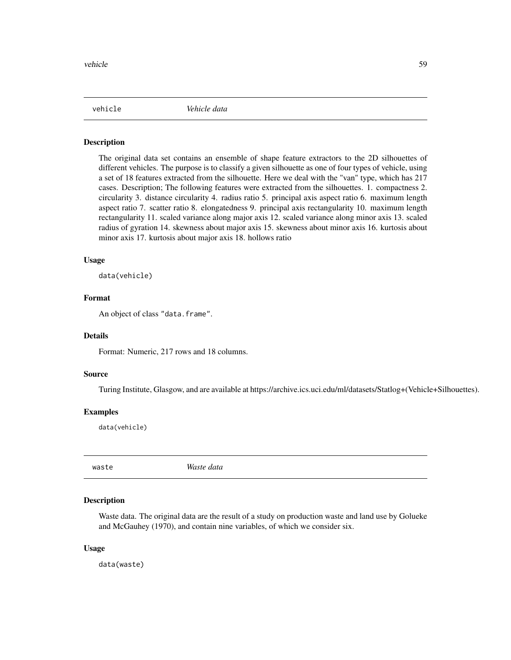<span id="page-58-0"></span>vehicle *Vehicle data*

#### Description

The original data set contains an ensemble of shape feature extractors to the 2D silhouettes of different vehicles. The purpose is to classify a given silhouette as one of four types of vehicle, using a set of 18 features extracted from the silhouette. Here we deal with the "van" type, which has 217 cases. Description; The following features were extracted from the silhouettes. 1. compactness 2. circularity 3. distance circularity 4. radius ratio 5. principal axis aspect ratio 6. maximum length aspect ratio 7. scatter ratio 8. elongatedness 9. principal axis rectangularity 10. maximum length rectangularity 11. scaled variance along major axis 12. scaled variance along minor axis 13. scaled radius of gyration 14. skewness about major axis 15. skewness about minor axis 16. kurtosis about minor axis 17. kurtosis about major axis 18. hollows ratio

#### Usage

data(vehicle)

# Format

An object of class "data.frame".

#### Details

Format: Numeric, 217 rows and 18 columns.

#### Source

Turing Institute, Glasgow, and are available at https://archive.ics.uci.edu/ml/datasets/Statlog+(Vehicle+Silhouettes).

#### Examples

data(vehicle)

waste *Waste data*

#### Description

Waste data. The original data are the result of a study on production waste and land use by Golueke and McGauhey (1970), and contain nine variables, of which we consider six.

#### Usage

data(waste)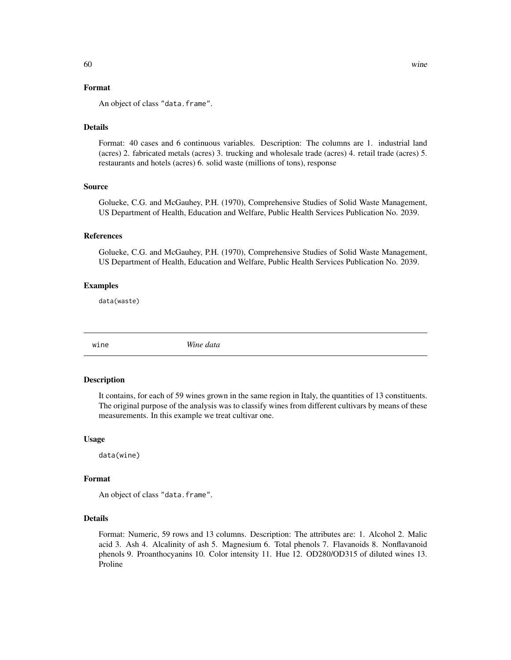# <span id="page-59-0"></span>Format

An object of class "data.frame".

#### Details

Format: 40 cases and 6 continuous variables. Description: The columns are 1. industrial land (acres) 2. fabricated metals (acres) 3. trucking and wholesale trade (acres) 4. retail trade (acres) 5. restaurants and hotels (acres) 6. solid waste (millions of tons), response

#### Source

Golueke, C.G. and McGauhey, P.H. (1970), Comprehensive Studies of Solid Waste Management, US Department of Health, Education and Welfare, Public Health Services Publication No. 2039.

# **References**

Golueke, C.G. and McGauhey, P.H. (1970), Comprehensive Studies of Solid Waste Management, US Department of Health, Education and Welfare, Public Health Services Publication No. 2039.

#### Examples

data(waste)

wine *Wine data*

#### Description

It contains, for each of 59 wines grown in the same region in Italy, the quantities of 13 constituents. The original purpose of the analysis was to classify wines from different cultivars by means of these measurements. In this example we treat cultivar one.

#### Usage

data(wine)

# Format

An object of class "data.frame".

#### Details

Format: Numeric, 59 rows and 13 columns. Description: The attributes are: 1. Alcohol 2. Malic acid 3. Ash 4. Alcalinity of ash 5. Magnesium 6. Total phenols 7. Flavanoids 8. Nonflavanoid phenols 9. Proanthocyanins 10. Color intensity 11. Hue 12. OD280/OD315 of diluted wines 13. Proline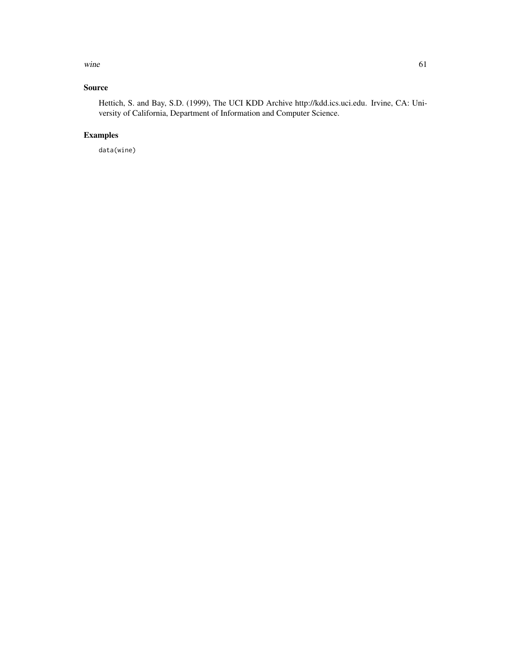wine  $\qquad \qquad 61$ 

# Source

Hettich, S. and Bay, S.D. (1999), The UCI KDD Archive http://kdd.ics.uci.edu. Irvine, CA: University of California, Department of Information and Computer Science.

# Examples

data(wine)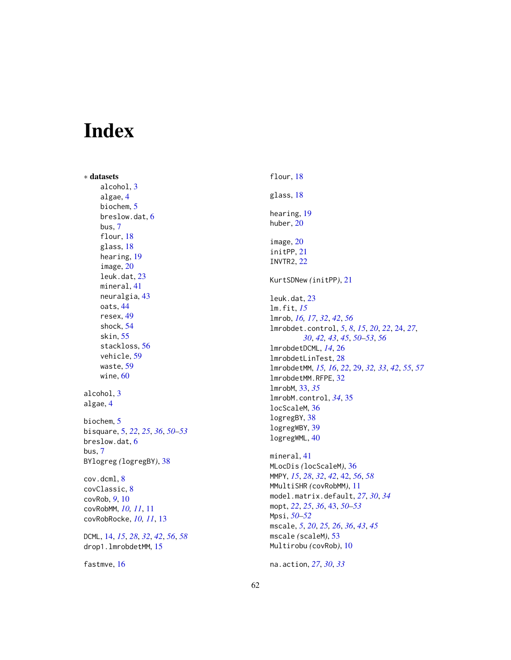# <span id="page-61-0"></span>Index

∗ datasets alcohol , [3](#page-2-0) algae , [4](#page-3-0) biochem , [5](#page-4-0) breslow.dat, [6](#page-5-0) bus , [7](#page-6-0) flour, [18](#page-17-0) glass , [18](#page-17-0) hearing , [19](#page-18-0) image , [20](#page-19-0) leuk.dat , [23](#page-22-0) mineral , [41](#page-40-0) neuralgia , [43](#page-42-0) oats , [44](#page-43-0) resex , [49](#page-48-0) shock , [54](#page-53-0) skin , [55](#page-54-0) stackloss , [56](#page-55-0) vehicle , [59](#page-58-0) waste , [59](#page-58-0) wine , [60](#page-59-0) alcohol , [3](#page-2-0) algae , [4](#page-3-0) biochem , [5](#page-4-0) bisquare , [5](#page-4-0) , *[22](#page-21-0)* , *[25](#page-24-0)* , *[36](#page-35-0)* , *[50–](#page-49-0)[53](#page-52-0)* breslow.dat, [6](#page-5-0) bus , [7](#page-6-0) BYlogreg *(*logregBY *)* , [38](#page-37-0) cov.dcml , [8](#page-7-0) covClassic , [8](#page-7-0) covRob , *[9](#page-8-0)* , [10](#page-9-0) covRobMM , *[10](#page-9-0) , [11](#page-10-0)* , [11](#page-10-0) covRobRocke , *[10](#page-9-0) , [11](#page-10-0)* , [13](#page-12-0) DCML , [14](#page-13-0) , *[15](#page-14-0)* , *[28](#page-27-0)* , *[32](#page-31-0)* , *[42](#page-41-0)* , *[56](#page-55-0)* , *[58](#page-57-0)* drop1.lmrobdetMM , [15](#page-14-0) fastmve, [16](#page-15-0)

flour , [18](#page-17-0) glass , [18](#page-17-0) hearing, [19](#page-18-0) huber , [20](#page-19-0) image , [20](#page-19-0) initPP , [21](#page-20-0) INVTR2 , [22](#page-21-0) KurtSDNew *(*initPP *)* , [21](#page-20-0) leuk.dat , [23](#page-22-0) lm.fit , *[15](#page-14-0)* lmrob , *[16,](#page-15-0) [17](#page-16-0)* , *[32](#page-31-0)* , *[42](#page-41-0)* , *[56](#page-55-0)* lmrobdet.control , *[5](#page-4-0)* , *[8](#page-7-0)* , *[15](#page-14-0)* , *[20](#page-19-0)* , *[22](#page-21-0)* , [24](#page-23-0) , *[27](#page-26-0)* , *[30](#page-29-0)* , *[42](#page-41-0) , [43](#page-42-0)* , *[45](#page-44-0)* , *[50](#page-49-0)[–53](#page-52-0)* , *[56](#page-55-0)* lmrobdetDCML , *[14](#page-13-0)* , [26](#page-25-0) lmrobdetLinTest , [28](#page-27-0) lmrobdetMM , *[15](#page-14-0) , [16](#page-15-0)* , *[22](#page-21-0)* , [29](#page-28-0) , *[32](#page-31-0) , [33](#page-32-0)* , *[42](#page-41-0)* , *[55](#page-54-0)* , *[57](#page-56-0)* lmrobdetMM.RFPE , [32](#page-31-0) lmrobM , [33](#page-32-0) , *[35](#page-34-0)* lmrobM.control , *[34](#page-33-0)* , [35](#page-34-0) locScaleM , [36](#page-35-0) logregBY , [38](#page-37-0) logregWBY , [39](#page-38-0) logregWML , [40](#page-39-0) mineral , [41](#page-40-0) MLocDis *(*locScaleM *)* , [36](#page-35-0) MMPY , *[15](#page-14-0)* , *[28](#page-27-0)* , *[32](#page-31-0)* , *[42](#page-41-0)* , [42](#page-41-0) , *[56](#page-55-0)* , *[58](#page-57-0)* MMultiSHR *(*covRobMM *)* , [11](#page-10-0) model.matrix.default , *[27](#page-26-0)* , *[30](#page-29-0)* , *[34](#page-33-0)* mopt , *[22](#page-21-0)* , *[25](#page-24-0)* , *[36](#page-35-0)* , [43](#page-42-0) , *[50](#page-49-0)[–53](#page-52-0)* Mpsi , *[50–](#page-49-0)[52](#page-51-0)* mscale , *[5](#page-4-0)* , *[20](#page-19-0)* , *[25](#page-24-0) , [26](#page-25-0)* , *[36](#page-35-0)* , *[43](#page-42-0)* , *[45](#page-44-0)* mscale *(*scaleM *)* , [53](#page-52-0)

Multirobu *(*covRob *)* , [10](#page-9-0) na.action , *[27](#page-26-0)* , *[30](#page-29-0)* , *[33](#page-32-0)*